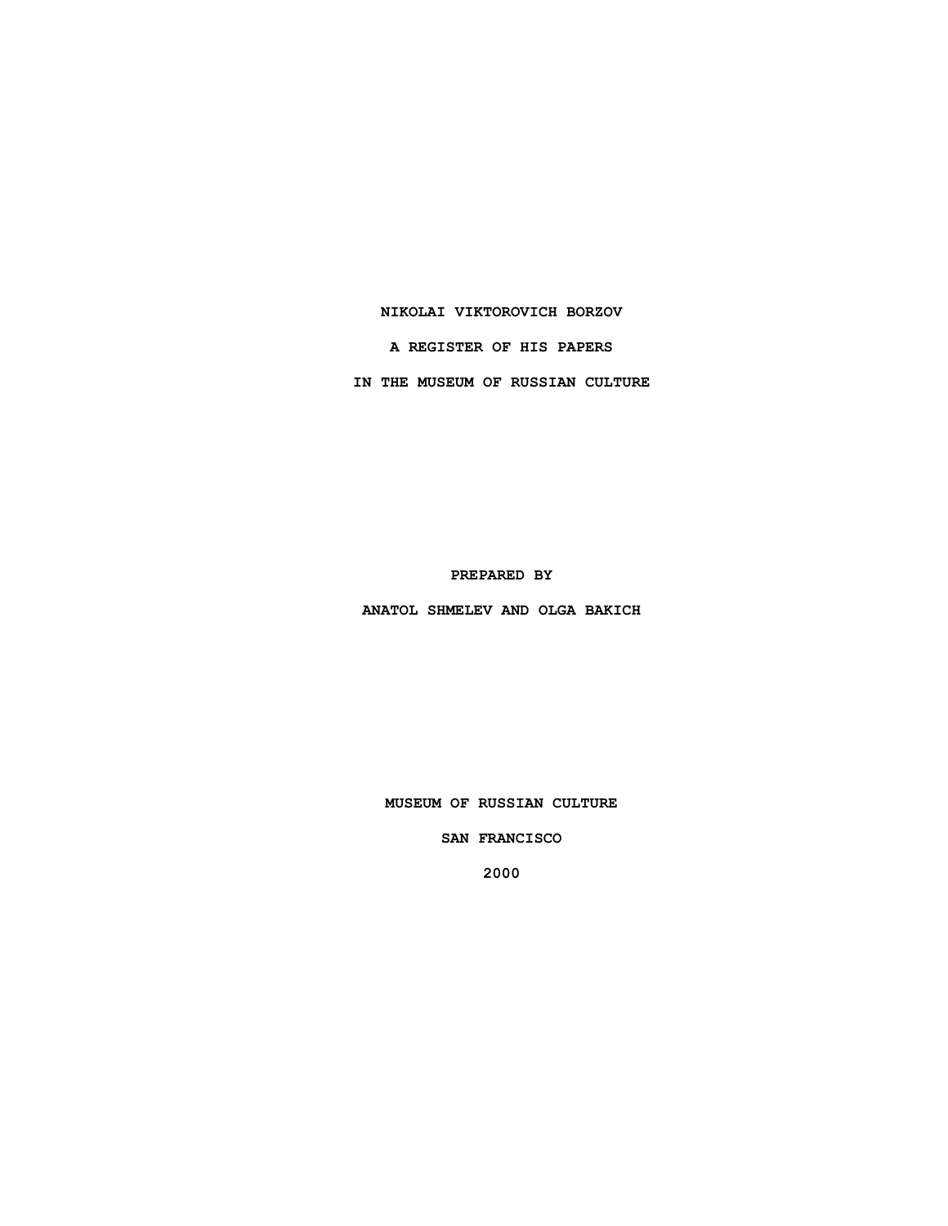### **NIKOLAI VIKTOROVICH BORZOV**

**A REGISTER OF HIS PAPERS**

**IN THE MUSEUM OF RUSSIAN CULTURE**

**PREPARED BY**

**ANATOL SHMELEV AND OLGA BAKICH**

**MUSEUM OF RUSSIAN CULTURE**

**SAN FRANCISCO**

**2000**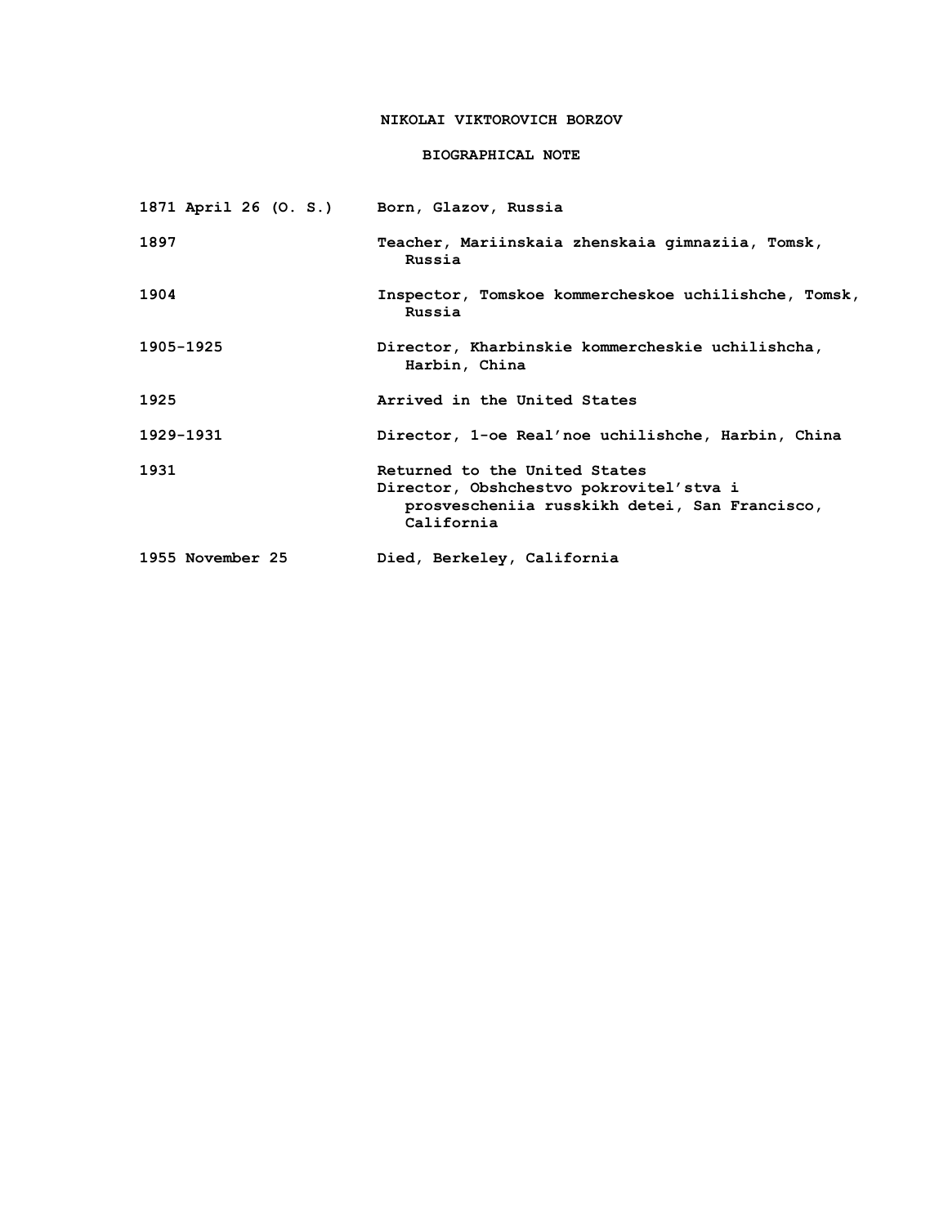# **NIKOLAI VIKTOROVICH BORZOV**

## **BIOGRAPHICAL NOTE**

| 1871 April 26 (O. S.) Born, Glazov, Russia |                                                                                                                                         |
|--------------------------------------------|-----------------------------------------------------------------------------------------------------------------------------------------|
| 1897                                       | Teacher, Mariinskaia zhenskaia gimnaziia, Tomsk,<br>Russia                                                                              |
| 1904                                       | Inspector, Tomskoe kommercheskoe uchilishche, Tomsk,<br>Russia                                                                          |
| 1905-1925                                  | Director, Kharbinskie kommercheskie uchilishcha,<br>Harbin, China                                                                       |
| 1925                                       | Arrived in the United States                                                                                                            |
| 1929-1931                                  | Director, 1-oe Real'noe uchilishche, Harbin, China                                                                                      |
| 1931                                       | Returned to the United States<br>Director, Obshchestvo pokrovitel'stva i<br>prosvescheniia russkikh detei, San Francisco,<br>California |
| 1955 November 25                           | Died, Berkeley, California                                                                                                              |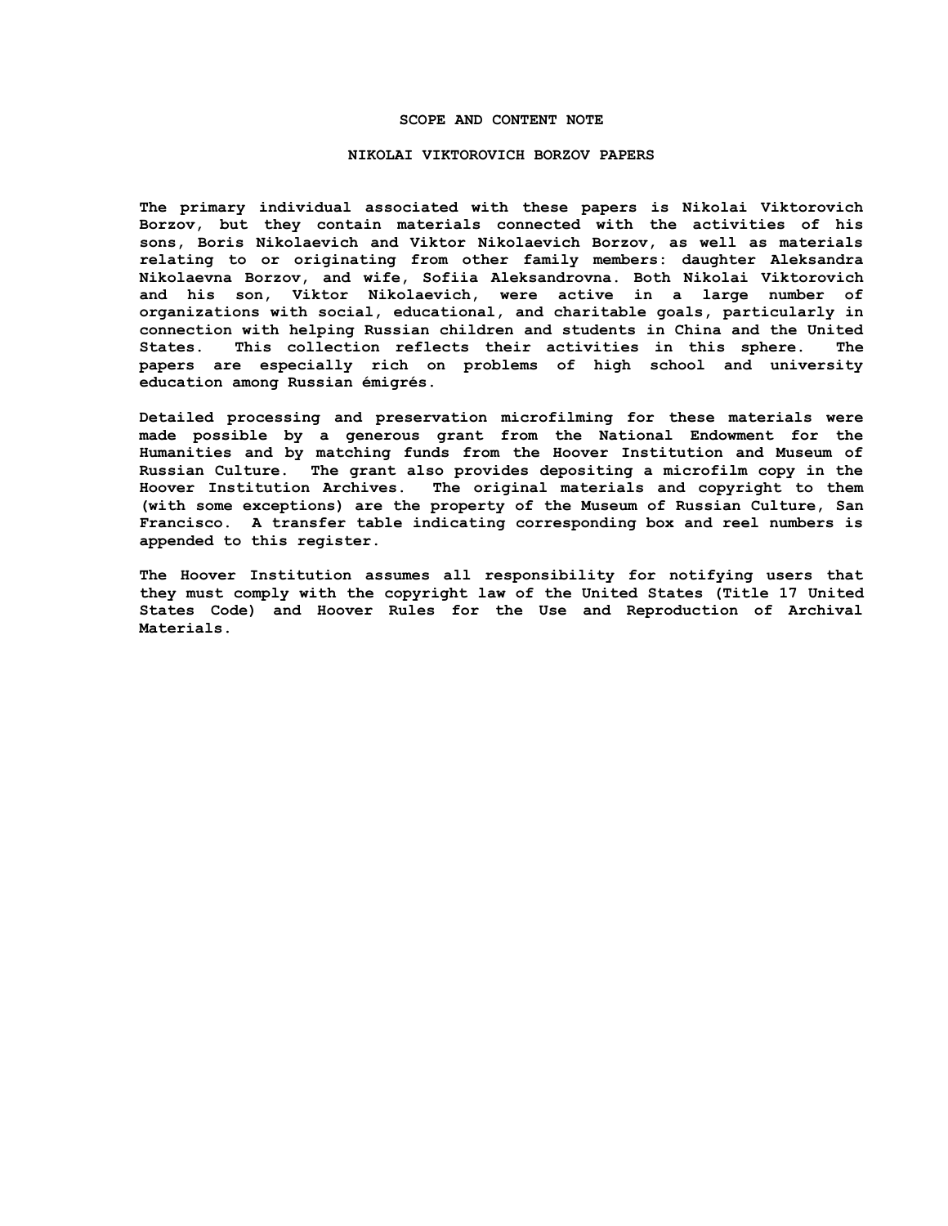#### **SCOPE AND CONTENT NOTE**

#### **NIKOLAI VIKTOROVICH BORZOV PAPERS**

**The primary individual associated with these papers is Nikolai Viktorovich Borzov, but they contain materials connected with the activities of his sons, Boris Nikolaevich and Viktor Nikolaevich Borzov, as well as materials relating to or originating from other family members: daughter Aleksandra Nikolaevna Borzov, and wife, Sofiia Aleksandrovna. Both Nikolai Viktorovich and his son, Viktor Nikolaevich, were active in a large number of organizations with social, educational, and charitable goals, particularly in connection with helping Russian children and students in China and the United States. This collection reflects their activities in this sphere. The papers are especially rich on problems of high school and university education among Russian émigrés.** 

**Detailed processing and preservation microfilming for these materials were made possible by a generous grant from the National Endowment for the Humanities and by matching funds from the Hoover Institution and Museum of Russian Culture. The grant also provides depositing a microfilm copy in the Hoover Institution Archives. The original materials and copyright to them (with some exceptions) are the property of the Museum of Russian Culture, San Francisco. A transfer table indicating corresponding box and reel numbers is appended to this register.**

**The Hoover Institution assumes all responsibility for notifying users that they must comply with the copyright law of the United States (Title 17 United States Code) and Hoover Rules for the Use and Reproduction of Archival Materials.**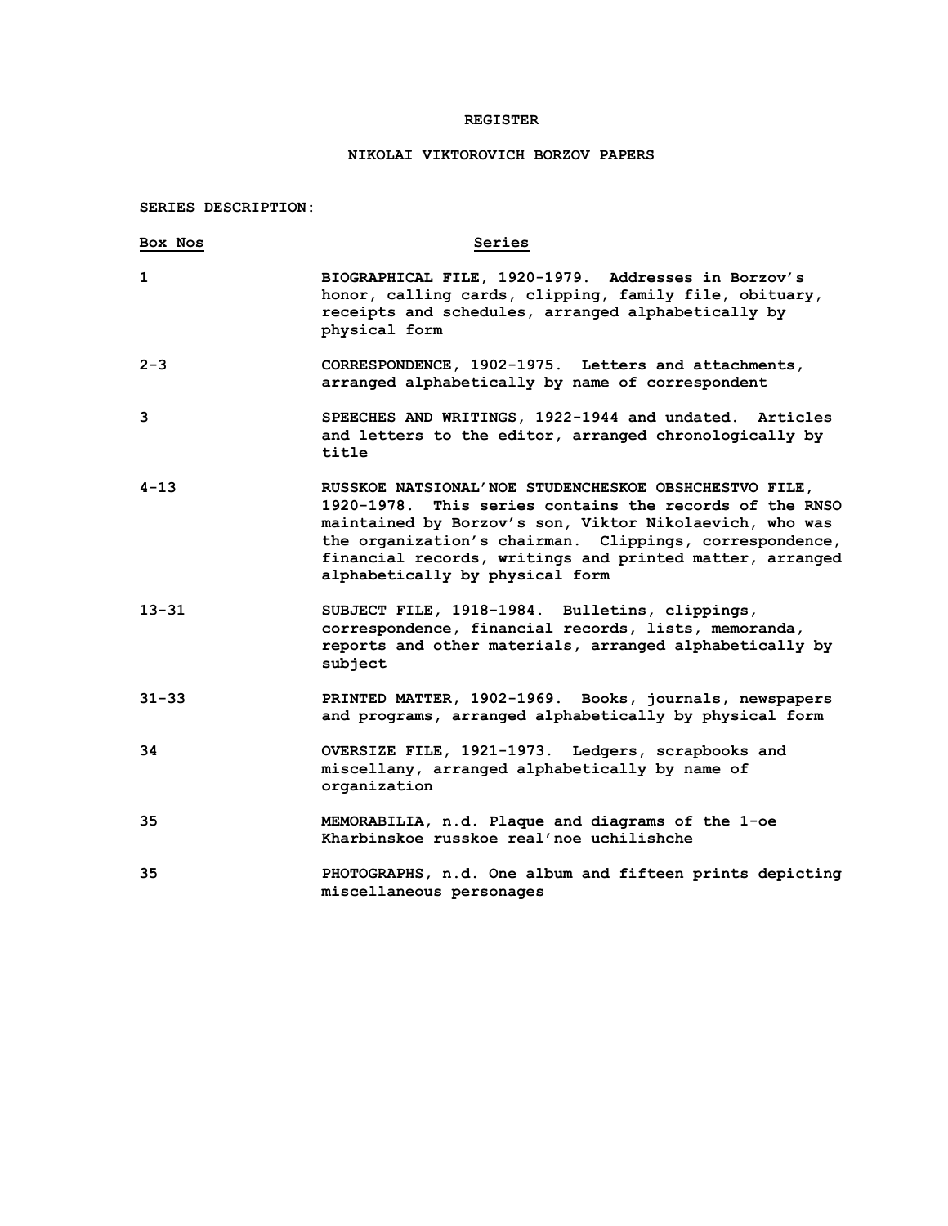### **REGISTER**

# **NIKOLAI VIKTOROVICH BORZOV PAPERS**

**SERIES DESCRIPTION:**

| Box Nos   | Series                                                                                                                                                                                                                                                                                                                                |
|-----------|---------------------------------------------------------------------------------------------------------------------------------------------------------------------------------------------------------------------------------------------------------------------------------------------------------------------------------------|
| 1         | BIOGRAPHICAL FILE, 1920-1979. Addresses in Borzov's<br>honor, calling cards, clipping, family file, obituary,<br>receipts and schedules, arranged alphabetically by<br>physical form                                                                                                                                                  |
| $2 - 3$   | CORRESPONDENCE, 1902-1975. Letters and attachments,<br>arranged alphabetically by name of correspondent                                                                                                                                                                                                                               |
| 3         | SPEECHES AND WRITINGS, 1922-1944 and undated. Articles<br>and letters to the editor, arranged chronologically by<br>title                                                                                                                                                                                                             |
| 4-13      | RUSSKOE NATSIONAL'NOE STUDENCHESKOE OBSHCHESTVO FILE,<br>1920-1978. This series contains the records of the RNSO<br>maintained by Borzov's son, Viktor Nikolaevich, who was<br>the organization's chairman. Clippings, correspondence,<br>financial records, writings and printed matter, arranged<br>alphabetically by physical form |
| $13 - 31$ | SUBJECT FILE, 1918-1984. Bulletins, clippings,<br>correspondence, financial records, lists, memoranda,<br>reports and other materials, arranged alphabetically by<br>subject                                                                                                                                                          |
| $31 - 33$ | PRINTED MATTER, 1902-1969. Books, journals, newspapers<br>and programs, arranged alphabetically by physical form                                                                                                                                                                                                                      |
| 34        | OVERSIZE FILE, 1921-1973. Ledgers, scrapbooks and<br>miscellany, arranged alphabetically by name of<br>organization                                                                                                                                                                                                                   |
| 35        | MEMORABILIA, n.d. Plaque and diagrams of the 1-oe<br>Kharbinskoe russkoe real'noe uchilishche                                                                                                                                                                                                                                         |
| 35        | PHOTOGRAPHS, n.d. One album and fifteen prints depicting<br>miscellaneous personages                                                                                                                                                                                                                                                  |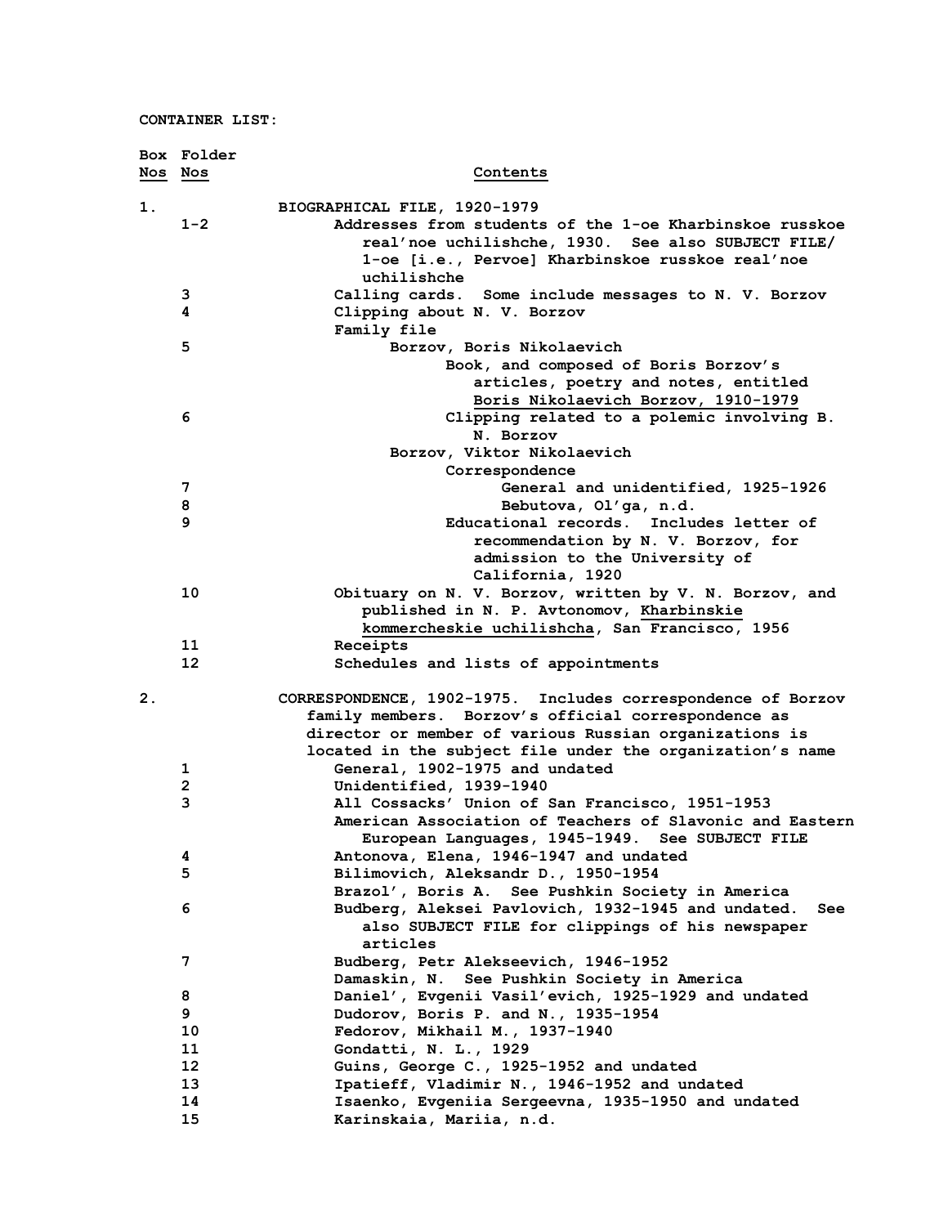|         | Box Folder              |                                                                                                               |
|---------|-------------------------|---------------------------------------------------------------------------------------------------------------|
| Nos Nos |                         | Contents                                                                                                      |
| 1.      |                         | BIOGRAPHICAL FILE, 1920-1979                                                                                  |
|         | $1 - 2$                 | Addresses from students of the 1-oe Kharbinskoe russkoe                                                       |
|         |                         | real'noe uchilishche, 1930. See also SUBJECT FILE/                                                            |
|         |                         | 1-oe [i.e., Pervoe] Kharbinskoe russkoe real'noe                                                              |
|         |                         | uchilishche                                                                                                   |
|         | 3                       | Calling cards. Some include messages to N. V. Borzov                                                          |
|         | 4                       | Clipping about N. V. Borzov                                                                                   |
|         |                         | Family file                                                                                                   |
|         | 5                       | Borzov, Boris Nikolaevich                                                                                     |
|         |                         | Book, and composed of Boris Borzov's                                                                          |
|         |                         | articles, poetry and notes, entitled                                                                          |
|         |                         | Boris Nikolaevich Borzov, 1910-1979                                                                           |
|         | 6                       | Clipping related to a polemic involving B.                                                                    |
|         |                         | N. Borzov                                                                                                     |
|         |                         | Borzov, Viktor Nikolaevich                                                                                    |
|         |                         | Correspondence                                                                                                |
|         | 7                       | General and unidentified, 1925-1926                                                                           |
|         | 8<br>9                  | Bebutova, Ol'ga, n.d.                                                                                         |
|         |                         | Educational records. Includes letter of<br>recommendation by N. V. Borzov, for                                |
|         |                         | admission to the University of                                                                                |
|         |                         | California, 1920                                                                                              |
|         | 10                      | Obituary on N. V. Borzov, written by V. N. Borzov, and                                                        |
|         |                         | published in N. P. Avtonomov, Kharbinskie                                                                     |
|         |                         | kommercheskie uchilishcha, San Francisco, 1956                                                                |
|         | 11                      | Receipts                                                                                                      |
|         | 12                      | Schedules and lists of appointments                                                                           |
| 2.      |                         | CORRESPONDENCE, 1902-1975. Includes correspondence of Borzov                                                  |
|         |                         | family members. Borzov's official correspondence as                                                           |
|         |                         | director or member of various Russian organizations is                                                        |
|         |                         | located in the subject file under the organization's name                                                     |
|         | 1                       | General, 1902-1975 and undated                                                                                |
|         | $\overline{\mathbf{c}}$ | Unidentified, 1939-1940                                                                                       |
|         | 3                       | All Cossacks' Union of San Francisco, 1951-1953                                                               |
|         |                         | American Association of Teachers of Slavonic and Eastern                                                      |
|         |                         | European Languages, 1945-1949. See SUBJECT FILE                                                               |
|         | 4                       | Antonova, Elena, 1946-1947 and undated                                                                        |
|         | 5                       | Bilimovich, Aleksandr D., 1950-1954                                                                           |
|         |                         | Brazol', Boris A. See Pushkin Society in America                                                              |
|         | 6                       | Budberg, Aleksei Pavlovich, 1932-1945 and undated.<br>See<br>also SUBJECT FILE for clippings of his newspaper |
|         |                         | articles                                                                                                      |
|         | 7                       | Budberg, Petr Alekseevich, 1946-1952                                                                          |
|         |                         | Damaskin, N. See Pushkin Society in America                                                                   |
|         | 8                       | Daniel', Evgenii Vasil'evich, 1925-1929 and undated                                                           |
|         | 9                       | Dudorov, Boris P. and N., 1935-1954                                                                           |
|         | 10                      | Fedorov, Mikhail M., 1937-1940                                                                                |
|         | 11                      | Gondatti, N. L., 1929                                                                                         |
|         | 12                      | Guins, George C., 1925-1952 and undated                                                                       |
|         | 13                      | Ipatieff, Vladimir N., 1946-1952 and undated                                                                  |
|         | 14                      | Isaenko, Evgeniia Sergeevna, 1935-1950 and undated                                                            |
|         | 15                      | Karinskaia, Mariia, n.d.                                                                                      |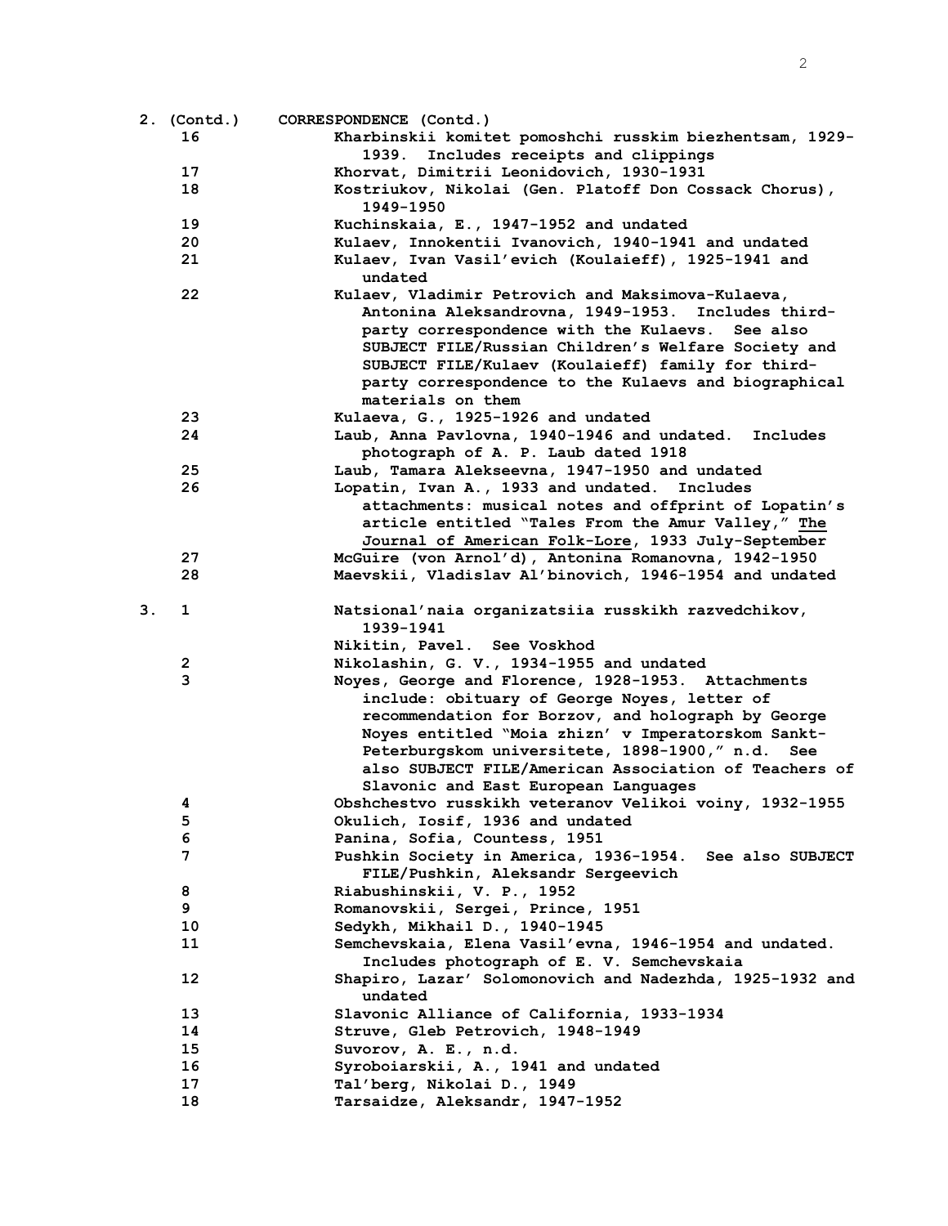|    | 2. (Contd.) | CORRESPONDENCE (Contd.)                                  |
|----|-------------|----------------------------------------------------------|
|    | 16          | Kharbinskii komitet pomoshchi russkim biezhentsam, 1929- |
|    |             | 1939. Includes receipts and clippings                    |
|    | 17          | Khorvat, Dimitrii Leonidovich, 1930-1931                 |
|    | 18          | Kostriukov, Nikolai (Gen. Platoff Don Cossack Chorus),   |
|    |             | 1949–1950                                                |
|    | 19          | Kuchinskaia, E., 1947-1952 and undated                   |
|    | 20          | Kulaev, Innokentii Ivanovich, 1940-1941 and undated      |
|    | 21          | Kulaev, Ivan Vasil'evich (Koulaieff), 1925-1941 and      |
|    |             | undated                                                  |
|    | 22          | Kulaev, Vladimir Petrovich and Maksimova-Kulaeva,        |
|    |             | Antonina Aleksandrovna, 1949-1953. Includes third-       |
|    |             | party correspondence with the Kulaevs. See also          |
|    |             | SUBJECT FILE/Russian Children's Welfare Society and      |
|    |             | SUBJECT FILE/Kulaev (Koulaieff) family for third-        |
|    |             | party correspondence to the Kulaevs and biographical     |
|    |             | materials on them                                        |
|    | 23          | Kulaeva, G., 1925-1926 and undated                       |
|    | 24          | Laub, Anna Pavlovna, 1940-1946 and undated.<br>Includes  |
|    |             | photograph of A. P. Laub dated 1918                      |
|    | 25          | Laub, Tamara Alekseevna, 1947-1950 and undated           |
|    | 26          | Lopatin, Ivan A., 1933 and undated. Includes             |
|    |             | attachments: musical notes and offprint of Lopatin's     |
|    |             | article entitled "Tales From the Amur Valley," The       |
|    |             | Journal of American Folk-Lore, 1933 July-September       |
|    | 27          | McGuire (von Arnol'd), Antonina Romanovna, 1942-1950     |
|    | 28          | Maevskii, Vladislav Al'binovich, 1946-1954 and undated   |
| 3. | 1           | Natsional'naia organizatsiia russkikh razvedchikov,      |
|    |             | 1939-1941                                                |
|    |             | Nikitin, Pavel. See Voskhod                              |
|    | 2           | Nikolashin, G. V., 1934-1955 and undated                 |
|    | 3           | Noyes, George and Florence, 1928-1953. Attachments       |
|    |             | include: obituary of George Noyes, letter of             |
|    |             | recommendation for Borzov, and holograph by George       |
|    |             | Noyes entitled "Moia zhizn' v Imperatorskom Sankt-       |
|    |             | Peterburgskom universitete, 1898-1900," n.d. See         |
|    |             | also SUBJECT FILE/American Association of Teachers of    |
|    |             | Slavonic and East European Languages                     |
|    | 4           | Obshchestvo russkikh veteranov Velikoi voiny, 1932-1955  |
|    | 5           | Okulich, Iosif, 1936 and undated                         |
|    | 6           | Panina, Sofia, Countess, 1951                            |
|    | 7           | Pushkin Society in America, 1936-1954. See also SUBJECT  |
|    |             | FILE/Pushkin, Aleksandr Sergeevich                       |
|    | 8           | Riabushinskii, V. P., 1952                               |
|    | 9           | Romanovskii, Sergei, Prince, 1951                        |
|    | 10          | Sedykh, Mikhail D., 1940-1945                            |
|    | 11          | Semchevskaia, Elena Vasil'evna, 1946-1954 and undated.   |
|    |             | Includes photograph of E. V. Semchevskaia                |
|    | 12          | Shapiro, Lazar' Solomonovich and Nadezhda, 1925-1932 and |
|    |             | undated                                                  |
|    | 13          | Slavonic Alliance of California, 1933-1934               |
|    | 14          | Struve, Gleb Petrovich, 1948-1949                        |
|    | 15          | Suvorov, A. E., n.d.                                     |
|    | 16          | Syroboiarskii, A., 1941 and undated                      |
|    | 17          | Tal'berg, Nikolai D., 1949                               |
|    | 18          | Tarsaidze, Aleksandr, 1947-1952                          |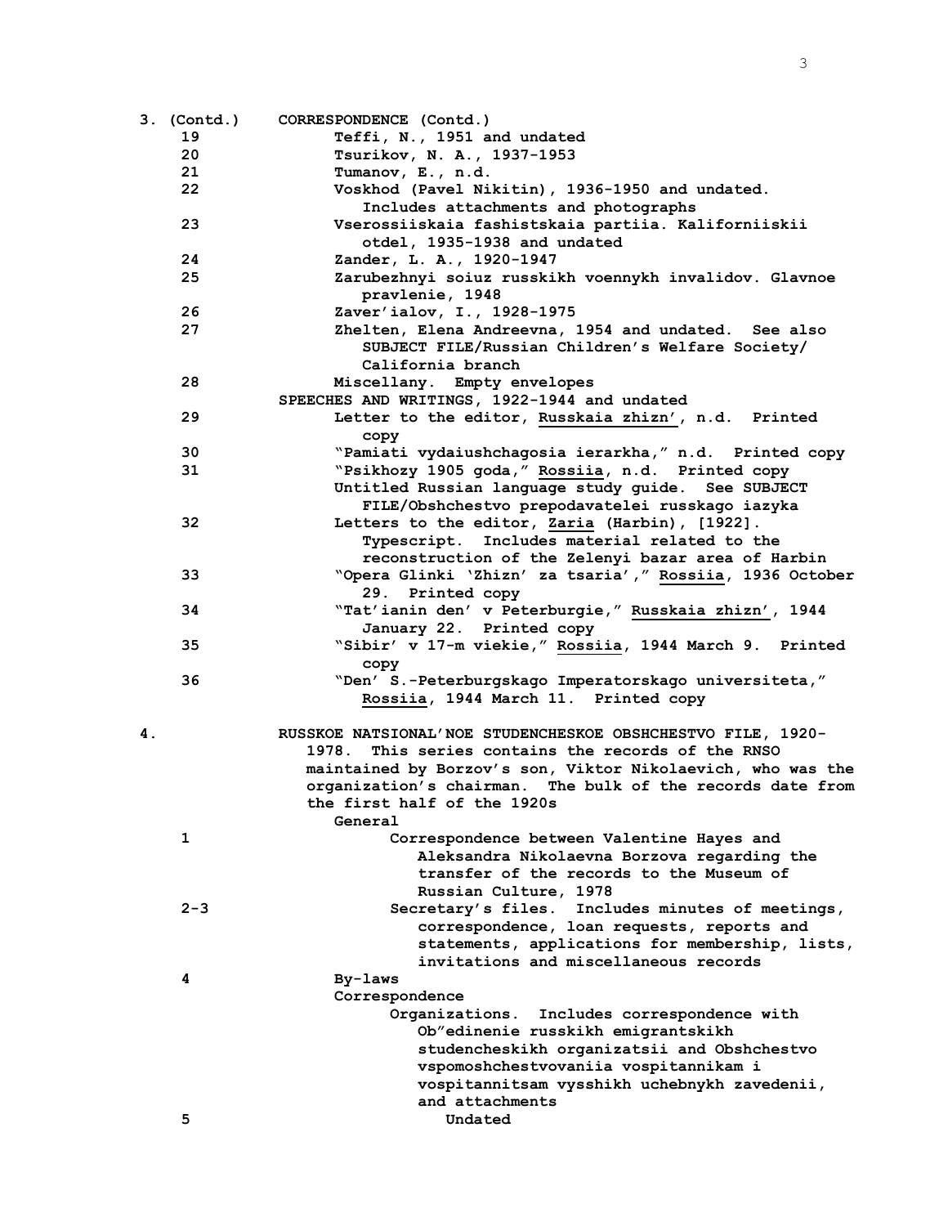|    | 3. (Contd.)       | CORRESPONDENCE (Contd.)                                     |
|----|-------------------|-------------------------------------------------------------|
|    | 19                | Teffi, N., 1951 and undated                                 |
|    | 20                | Tsurikov, N. A., 1937-1953                                  |
|    | 21                | Tumanov, E., n.d.                                           |
|    | $22 \overline{ }$ | Voskhod (Pavel Nikitin), 1936-1950 and undated.             |
|    |                   | Includes attachments and photographs                        |
|    | 23                | Vserossiiskaia fashistskaia partiia. Kaliforniiskii         |
|    |                   | otdel, 1935-1938 and undated                                |
|    | 24                | Zander, L. A., 1920-1947                                    |
|    | 25                | Zarubezhnyi soiuz russkikh voennykh invalidov. Glavnoe      |
|    |                   | pravlenie, 1948                                             |
|    | 26                | Zaver'ialov, I., 1928-1975                                  |
|    | 27                | Zhelten, Elena Andreevna, 1954 and undated. See also        |
|    |                   | SUBJECT FILE/Russian Children's Welfare Society/            |
|    |                   | California branch                                           |
|    | 28                | Miscellany. Empty envelopes                                 |
|    |                   | SPEECHES AND WRITINGS, 1922-1944 and undated                |
|    |                   |                                                             |
|    | 29                | Letter to the editor, Russkaia zhizn', n.d. Printed         |
|    |                   | copy                                                        |
|    | 30                | "Pamiati vydaiushchagosia ierarkha," n.d. Printed copy      |
|    | 31                | "Psikhozy 1905 goda," Rossiia, n.d. Printed copy            |
|    |                   | Untitled Russian language study guide. See SUBJECT          |
|    |                   | FILE/Obshchestvo prepodavatelei russkago iazyka             |
|    | 32                | Letters to the editor, Zaria (Harbin), [1922].              |
|    |                   | Typescript. Includes material related to the                |
|    |                   | reconstruction of the Zelenyi bazar area of Harbin          |
|    | 33                | "Opera Glinki 'Zhizn' za tsaria', " Rossiia, 1936 October   |
|    |                   | 29. Printed copy                                            |
|    | 34                | "Tat'ianin den' v Peterburgie," Russkaia zhizn', 1944       |
|    |                   | January 22. Printed copy                                    |
|    | 35                | "Sibir' v 17-m viekie," Rossiia, 1944 March 9. Printed      |
|    |                   | copy                                                        |
|    | 36                | "Den' S.-Peterburgskago Imperatorskago universiteta,"       |
|    |                   | Rossiia, 1944 March 11. Printed copy                        |
|    |                   |                                                             |
| 4. |                   | RUSSKOE NATSIONAL'NOE STUDENCHESKOE OBSHCHESTVO FILE, 1920- |
|    |                   | This series contains the records of the RNSO<br>1978.       |
|    |                   | maintained by Borzov's son, Viktor Nikolaevich, who was the |
|    |                   | organization's chairman. The bulk of the records date from  |
|    |                   | the first half of the 1920s                                 |
|    |                   | General                                                     |
|    | 1                 | Correspondence between Valentine Hayes and                  |
|    |                   | Aleksandra Nikolaevna Borzova regarding the                 |
|    |                   | transfer of the records to the Museum of                    |
|    |                   | Russian Culture, 1978                                       |
|    | $2 - 3$           | Secretary's files. Includes minutes of meetings,            |
|    |                   | correspondence, loan requests, reports and                  |
|    |                   | statements, applications for membership, lists,             |
|    |                   | invitations and miscellaneous records                       |
|    | 4                 | By-laws                                                     |
|    |                   | Correspondence                                              |
|    |                   | Includes correspondence with<br>Organizations.              |
|    |                   | Ob"edinenie russkikh emigrantskikh                          |
|    |                   | studencheskikh organizatsii and Obshchestvo                 |
|    |                   |                                                             |
|    |                   | vspomoshchestvovaniia vospitannikam i                       |
|    |                   | vospitannitsam vysshikh uchebnykh zavedenii,                |
|    |                   | and attachments                                             |
|    | 5                 | Undated                                                     |

3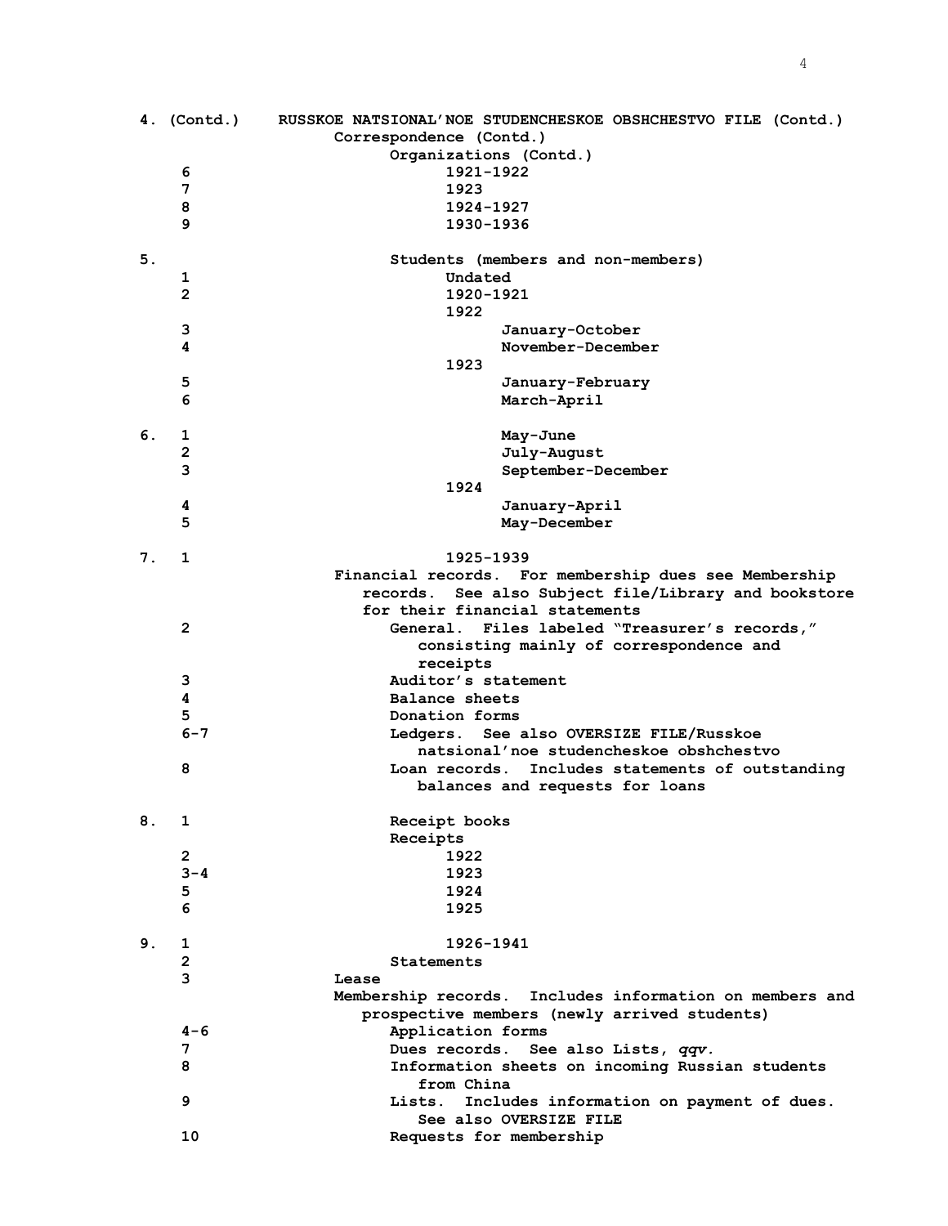|    | 4. (Contd.)             | RUSSKOE NATSIONAL'NOE STUDENCHESKOE OBSHCHESTVO FILE (Contd.)<br>Correspondence (Contd.) |
|----|-------------------------|------------------------------------------------------------------------------------------|
|    |                         | Organizations (Contd.)                                                                   |
|    | 6                       | 1921-1922                                                                                |
|    | 7                       | 1923                                                                                     |
|    | 8<br>9                  | 1924-1927<br>1930-1936                                                                   |
|    |                         |                                                                                          |
| 5. |                         | Students (members and non-members)                                                       |
|    | 1                       | Undated                                                                                  |
|    | $\mathbf{2}$            | 1920-1921                                                                                |
|    |                         | 1922                                                                                     |
|    | 3                       | January-October                                                                          |
|    | 4                       | November-December<br>1923                                                                |
|    | 5                       | January-February                                                                         |
|    | 6                       | March-April                                                                              |
|    |                         |                                                                                          |
| 6. | 1                       | May-June                                                                                 |
|    | $\mathbf{2}$            | July-August                                                                              |
|    | 3                       | September-December                                                                       |
|    |                         | 1924                                                                                     |
|    | 4<br>5                  | January-April                                                                            |
|    |                         | May-December                                                                             |
| 7. | 1                       | 1925-1939                                                                                |
|    |                         | Financial records. For membership dues see Membership                                    |
|    |                         | See also Subject file/Library and bookstore<br>records.                                  |
|    |                         | for their financial statements                                                           |
|    | $\mathbf{2}$            | <b>General.</b><br>Files labeled "Treasurer's records,"                                  |
|    |                         | consisting mainly of correspondence and                                                  |
|    | 3                       | receipts<br>Auditor's statement                                                          |
|    | 4                       | Balance sheets                                                                           |
|    | 5                       | Donation forms                                                                           |
|    | $6 - 7$                 | Ledgers. See also OVERSIZE FILE/Russkoe                                                  |
|    |                         | natsional'noe studencheskoe obshchestvo                                                  |
|    | 8                       | Loan records. Includes statements of outstanding                                         |
|    |                         | balances and requests for loans                                                          |
| 8. | $\mathbf{1}$            | Receipt books                                                                            |
|    |                         | Receipts                                                                                 |
|    | $\overline{\mathbf{c}}$ | 1922                                                                                     |
|    | $3 - 4$                 | 1923                                                                                     |
|    | 5                       | 1924                                                                                     |
|    | 6                       | 1925                                                                                     |
| 9. | 1                       | 1926-1941                                                                                |
|    | $\overline{\mathbf{c}}$ | <b>Statements</b>                                                                        |
|    | 3                       | Lease                                                                                    |

| 9. |              | 1926-1941                                                                                               |
|----|--------------|---------------------------------------------------------------------------------------------------------|
|    | $\mathbf{2}$ | Statements                                                                                              |
|    | 3            | Lease                                                                                                   |
|    |              | Membership records. Includes information on members and<br>prospective members (newly arrived students) |
|    | $4 - 6$      | Application forms                                                                                       |
|    | 7            | Dues records. See also Lists, qqv.                                                                      |
|    | 8            | Information sheets on incoming Russian students<br>from China                                           |
|    | 9            | Lists. Includes information on payment of dues.<br>See also OVERSIZE FILE                               |
|    | 10           | Requests for membership                                                                                 |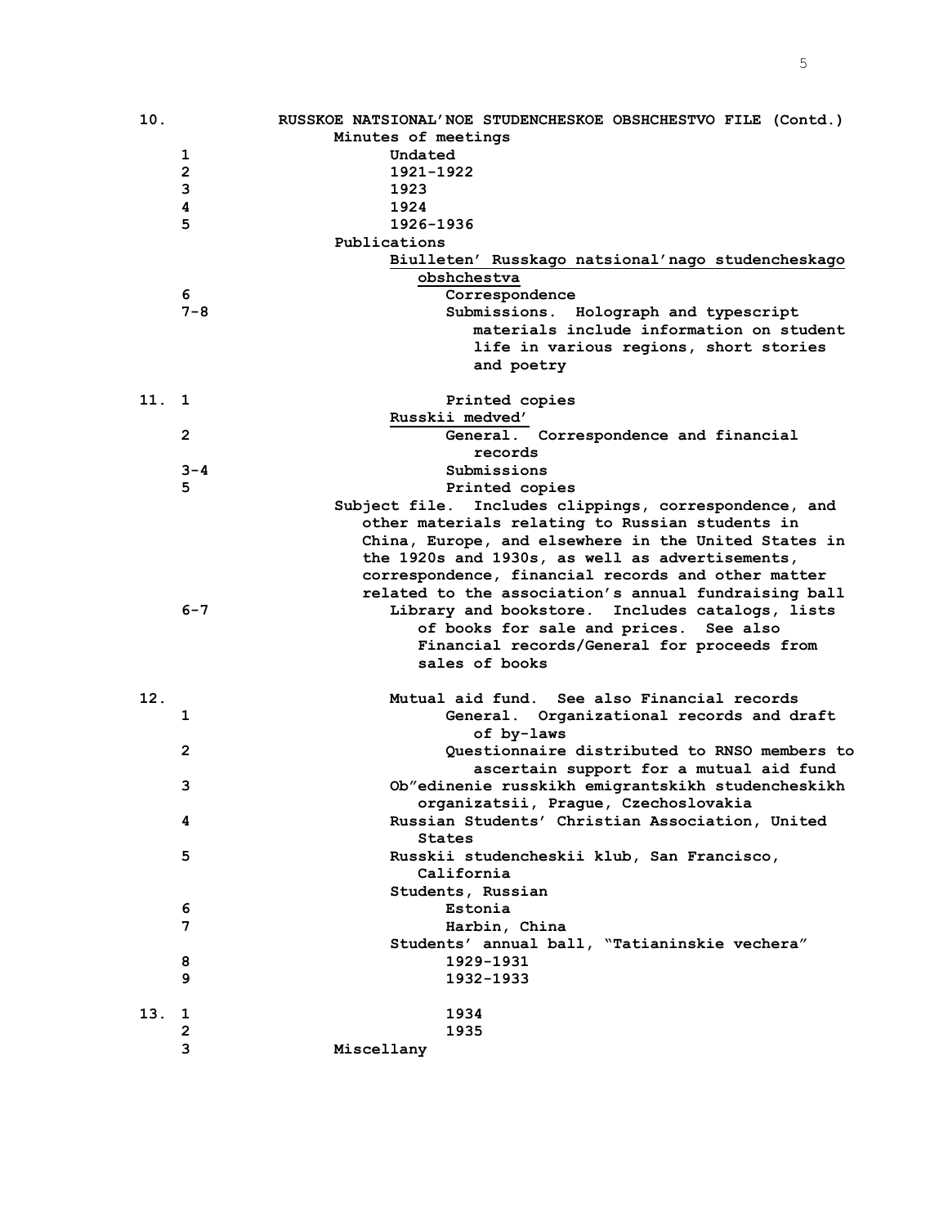| 10.  |                | RUSSKOE NATSIONAL'NOE STUDENCHESKOE OBSHCHESTVO FILE (Contd.) |
|------|----------------|---------------------------------------------------------------|
|      |                | Minutes of meetings                                           |
|      | 1              | Undated                                                       |
|      | 2              | 1921-1922                                                     |
|      | 3              | 1923                                                          |
|      | 4              | 1924                                                          |
|      | 5              | 1926-1936                                                     |
|      |                | Publications                                                  |
|      |                | Biulleten' Russkago natsional'nago studencheskago             |
|      |                | obshchestva                                                   |
|      | 6              | Correspondence                                                |
|      | $7 - 8$        | Submissions. Holograph and typescript                         |
|      |                | materials include information on student                      |
|      |                |                                                               |
|      |                | life in various regions, short stories                        |
|      |                | and poetry                                                    |
| 11.1 |                |                                                               |
|      |                | Printed copies                                                |
|      |                | Russkii medved'                                               |
|      | $\overline{2}$ | General. Correspondence and financial                         |
|      |                | records                                                       |
|      | $3 - 4$        | Submissions                                                   |
|      | 5              | Printed copies                                                |
|      |                | Includes clippings, correspondence, and<br>Subject file.      |
|      |                | other materials relating to Russian students in               |
|      |                | China, Europe, and elsewhere in the United States in          |
|      |                | the 1920s and 1930s, as well as advertisements,               |
|      |                | correspondence, financial records and other matter            |
|      |                | related to the association's annual fundraising ball          |
|      | $6 - 7$        | Library and bookstore. Includes catalogs, lists               |
|      |                | of books for sale and prices. See also                        |
|      |                | Financial records/General for proceeds from                   |
|      |                | sales of books                                                |
|      |                |                                                               |
| 12.  |                | See also Financial records<br>Mutual aid fund.                |
|      | 1              | General. Organizational records and draft                     |
|      |                | of by-laws                                                    |
|      | $\mathbf{2}$   | Questionnaire distributed to RNSO members to                  |
|      |                | ascertain support for a mutual aid fund                       |
|      | 3              | Ob"edinenie russkikh emigrantskikh studencheskikh             |
|      |                | organizatsii, Prague, Czechoslovakia                          |
|      | 4              | Russian Students' Christian Association, United               |
|      |                | <b>States</b>                                                 |
|      | 5              | Russkii studencheskii klub, San Francisco,                    |
|      |                | California                                                    |
|      |                |                                                               |
|      | 6              | Students, Russian<br>Estonia                                  |
|      | 7              |                                                               |
|      |                | Harbin, China                                                 |
|      |                | Students' annual ball, "Tatianinskie vechera"                 |
|      | 8              | 1929-1931                                                     |
|      | 9              | 1932-1933                                                     |
|      |                |                                                               |
| 13.  | 1              | 1934                                                          |
|      | 2              | 1935                                                          |
|      | 3              | Miscellany                                                    |

5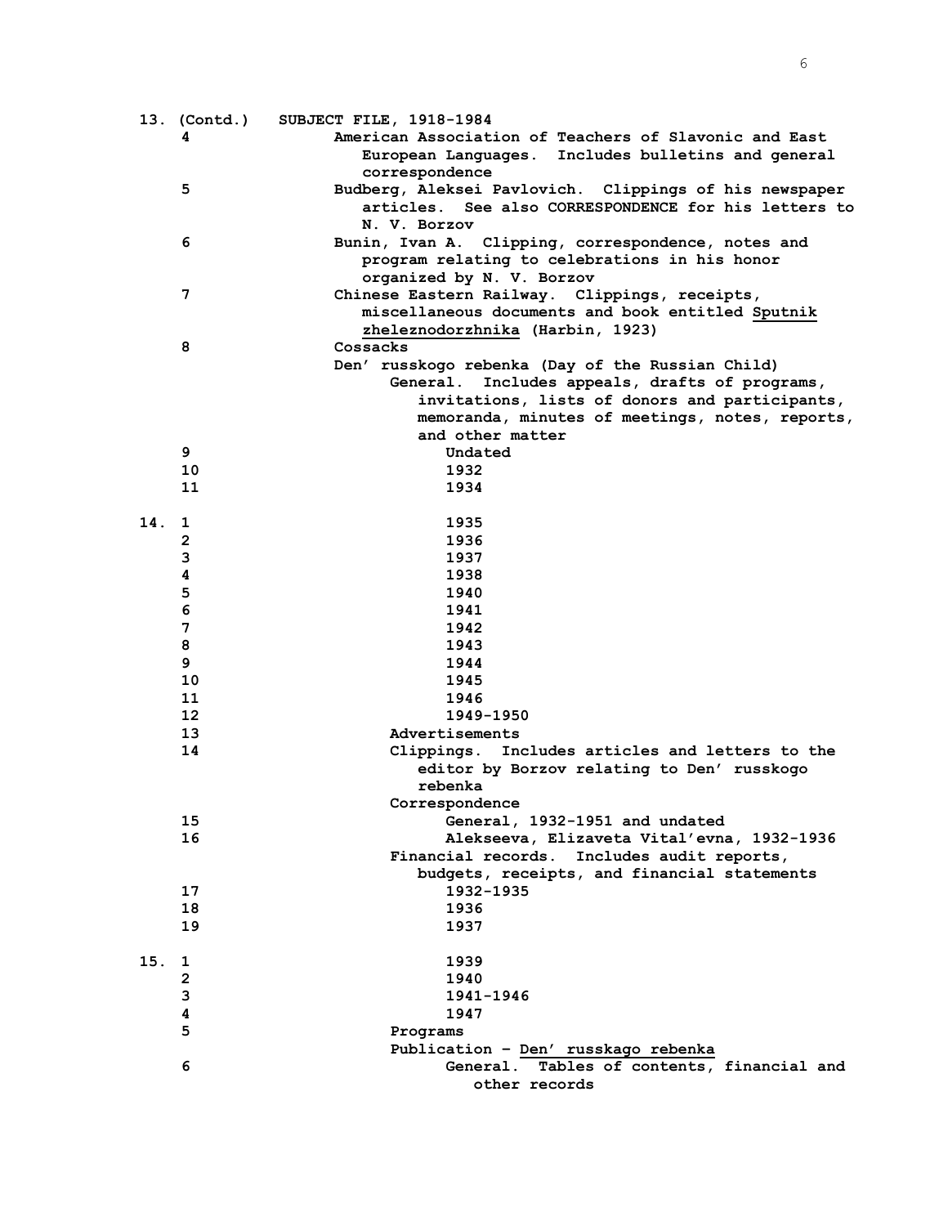|     |                 | 13. (Contd.) SUBJECT FILE, 1918-1984                   |
|-----|-----------------|--------------------------------------------------------|
|     | 4               | American Association of Teachers of Slavonic and East  |
|     |                 | European Languages. Includes bulletins and general     |
|     |                 | correspondence                                         |
|     | 5               | Budberg, Aleksei Pavlovich. Clippings of his newspaper |
|     |                 | articles. See also CORRESPONDENCE for his letters to   |
|     |                 | N. V. Borzov                                           |
|     | 6               | Bunin, Ivan A. Clipping, correspondence, notes and     |
|     |                 | program relating to celebrations in his honor          |
|     |                 |                                                        |
|     |                 | organized by N. V. Borzov                              |
|     | 7               | Chinese Eastern Railway. Clippings, receipts,          |
|     |                 | miscellaneous documents and book entitled Sputnik      |
|     |                 | zheleznodorzhnika (Harbin, 1923)                       |
|     | 8               | Cossacks                                               |
|     |                 | Den' russkogo rebenka (Day of the Russian Child)       |
|     |                 | General. Includes appeals, drafts of programs,         |
|     |                 | invitations, lists of donors and participants,         |
|     |                 | memoranda, minutes of meetings, notes, reports,        |
|     |                 | and other matter                                       |
|     | 9               | Undated                                                |
|     | 10              | 1932                                                   |
|     | 11              | 1934                                                   |
|     |                 |                                                        |
| 14. | 1               | 1935                                                   |
|     | $\mathbf{2}$    | 1936                                                   |
|     | 3               | 1937                                                   |
|     | 4               | 1938                                                   |
|     | 5               | 1940                                                   |
|     | 6               | 1941                                                   |
|     | 7               | 1942                                                   |
|     | 8               | 1943                                                   |
|     | 9               | 1944                                                   |
|     |                 |                                                        |
|     | 10              | 1945                                                   |
|     | 11              | 1946                                                   |
|     | 12 <sup>2</sup> | 1949-1950                                              |
|     | 13              | Advertisements                                         |
|     | 14              | Includes articles and letters to the<br>Clippings.     |
|     |                 | editor by Borzov relating to Den' russkogo             |
|     |                 | rebenka                                                |
|     |                 | Correspondence                                         |
|     | 15              | General, 1932-1951 and undated                         |
|     | 16              | Alekseeva, Elizaveta Vital'evna, 1932-1936             |
|     |                 | Financial records. Includes audit reports,             |
|     |                 | budgets, receipts, and financial statements            |
|     | 17              | 1932-1935                                              |
|     | 18              | 1936                                                   |
|     | 19              | 1937                                                   |
|     |                 |                                                        |
| 15. | 1               | 1939                                                   |
|     | 2               | 1940                                                   |
|     | 3               | 1941-1946                                              |
|     | 4               | 1947                                                   |
|     | 5               | Programs                                               |
|     |                 | Publication - Den' russkago rebenka                    |
|     | 6               | General. Tables of contents, financial and             |
|     |                 | other records                                          |
|     |                 |                                                        |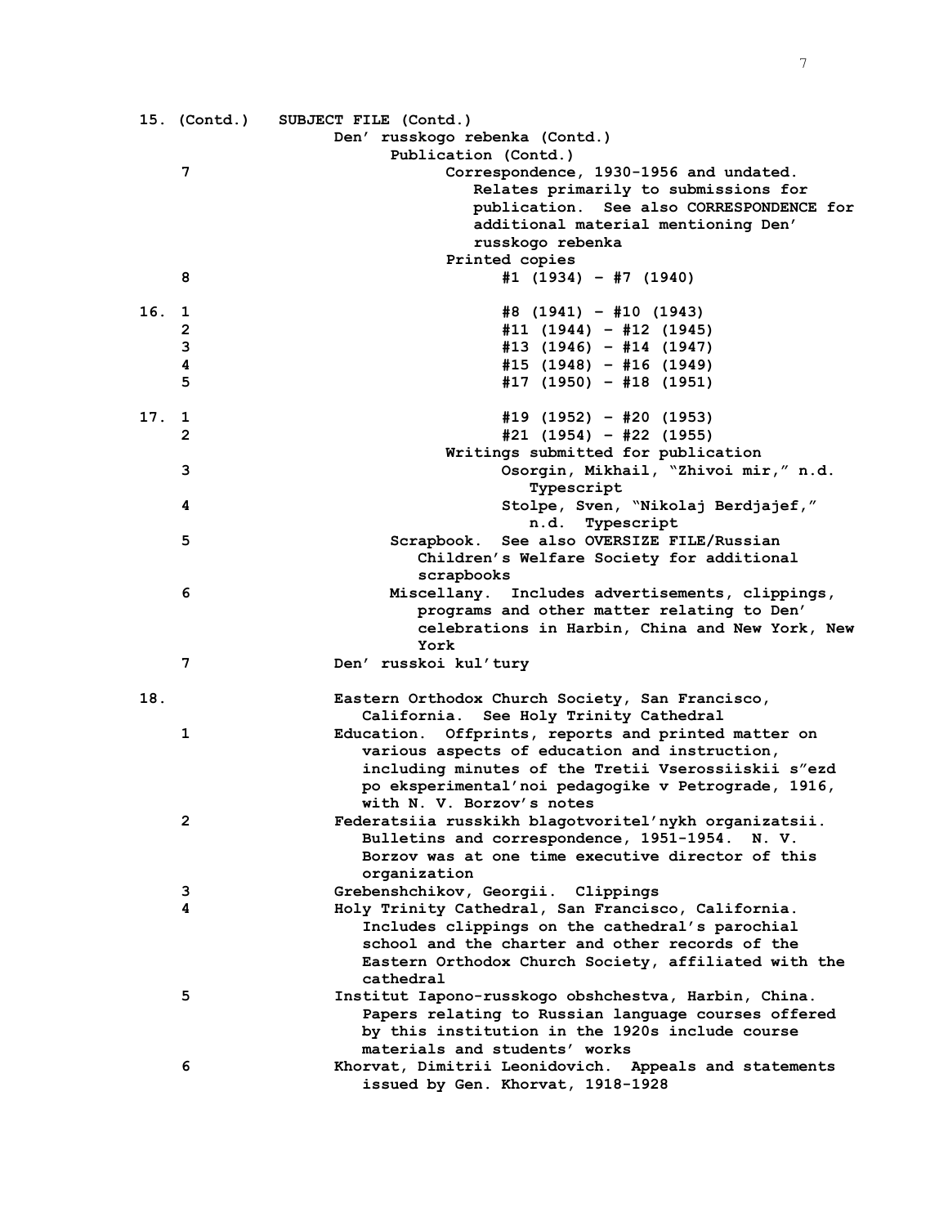|       |                         | 15. (Contd.) SUBJECT FILE (Contd.)                                                                          |
|-------|-------------------------|-------------------------------------------------------------------------------------------------------------|
|       |                         | Den' russkogo rebenka (Contd.)                                                                              |
|       |                         | Publication (Contd.)                                                                                        |
|       | 7                       | Correspondence, 1930-1956 and undated.                                                                      |
|       |                         | Relates primarily to submissions for<br>publication. See also CORRESPONDENCE for                            |
|       |                         | additional material mentioning Den'                                                                         |
|       |                         | russkogo rebenka                                                                                            |
|       |                         | Printed copies                                                                                              |
|       | 8                       | $#1$ (1934) - #7 (1940)                                                                                     |
|       |                         |                                                                                                             |
| 16. 1 |                         | #8 (1941) - #10 (1943)                                                                                      |
|       | $\overline{\mathbf{c}}$ | $#11$ (1944) - #12 (1945)                                                                                   |
|       | 3                       | $#13$ (1946) - #14 (1947)                                                                                   |
|       | 4                       | $#15$ (1948) - #16 (1949)                                                                                   |
|       | 5                       | #17 (1950) - #18 (1951)                                                                                     |
| 17.   | 1                       | #19 (1952) - #20 (1953)                                                                                     |
|       | $\overline{2}$          | #21 (1954) - #22 (1955)                                                                                     |
|       |                         | Writings submitted for publication                                                                          |
|       | 3                       | Osorgin, Mikhail, "Zhivoi mir," n.d.                                                                        |
|       |                         | Typescript                                                                                                  |
|       | 4                       | Stolpe, Sven, "Nikolaj Berdjajef,"                                                                          |
|       |                         | n.d. Typescript                                                                                             |
|       | 5                       | Scrapbook. See also OVERSIZE FILE/Russian                                                                   |
|       |                         | Children's Welfare Society for additional                                                                   |
|       |                         | scrapbooks                                                                                                  |
|       | 6                       | Miscellany. Includes advertisements, clippings,<br>programs and other matter relating to Den'               |
|       |                         | celebrations in Harbin, China and New York, New                                                             |
|       |                         | York                                                                                                        |
|       | 7                       | Den' russkoi kul'tury                                                                                       |
|       |                         |                                                                                                             |
| 18.   |                         | Eastern Orthodox Church Society, San Francisco,                                                             |
|       |                         | California. See Holy Trinity Cathedral                                                                      |
|       | 1                       | Education. Offprints, reports and printed matter on                                                         |
|       |                         | various aspects of education and instruction,                                                               |
|       |                         | including minutes of the Tretii Vserossiiskii s"ezd                                                         |
|       |                         | po eksperimental'noi pedagogike v Petrograde, 1916,<br>with N. V. Borzov's notes                            |
|       | $\mathbf{2}$            | Federatsiia russkikh blagotvoritel'nykh organizatsii.                                                       |
|       |                         | Bulletins and correspondence, 1951-1954.<br>N.V.                                                            |
|       |                         | Borzov was at one time executive director of this                                                           |
|       |                         | organization                                                                                                |
|       | 3                       | Grebenshchikov, Georgii. Clippings                                                                          |
|       | 4                       | Holy Trinity Cathedral, San Francisco, California.                                                          |
|       |                         | Includes clippings on the cathedral's parochial                                                             |
|       |                         | school and the charter and other records of the                                                             |
|       |                         | Eastern Orthodox Church Society, affiliated with the                                                        |
|       | 5                       | cathedral                                                                                                   |
|       |                         | Institut Iapono-russkogo obshchestva, Harbin, China.<br>Papers relating to Russian language courses offered |
|       |                         | by this institution in the 1920s include course                                                             |
|       |                         | materials and students' works                                                                               |
|       | 6                       | Khorvat, Dimitrii Leonidovich. Appeals and statements                                                       |
|       |                         | issued by Gen. Khorvat, 1918-1928                                                                           |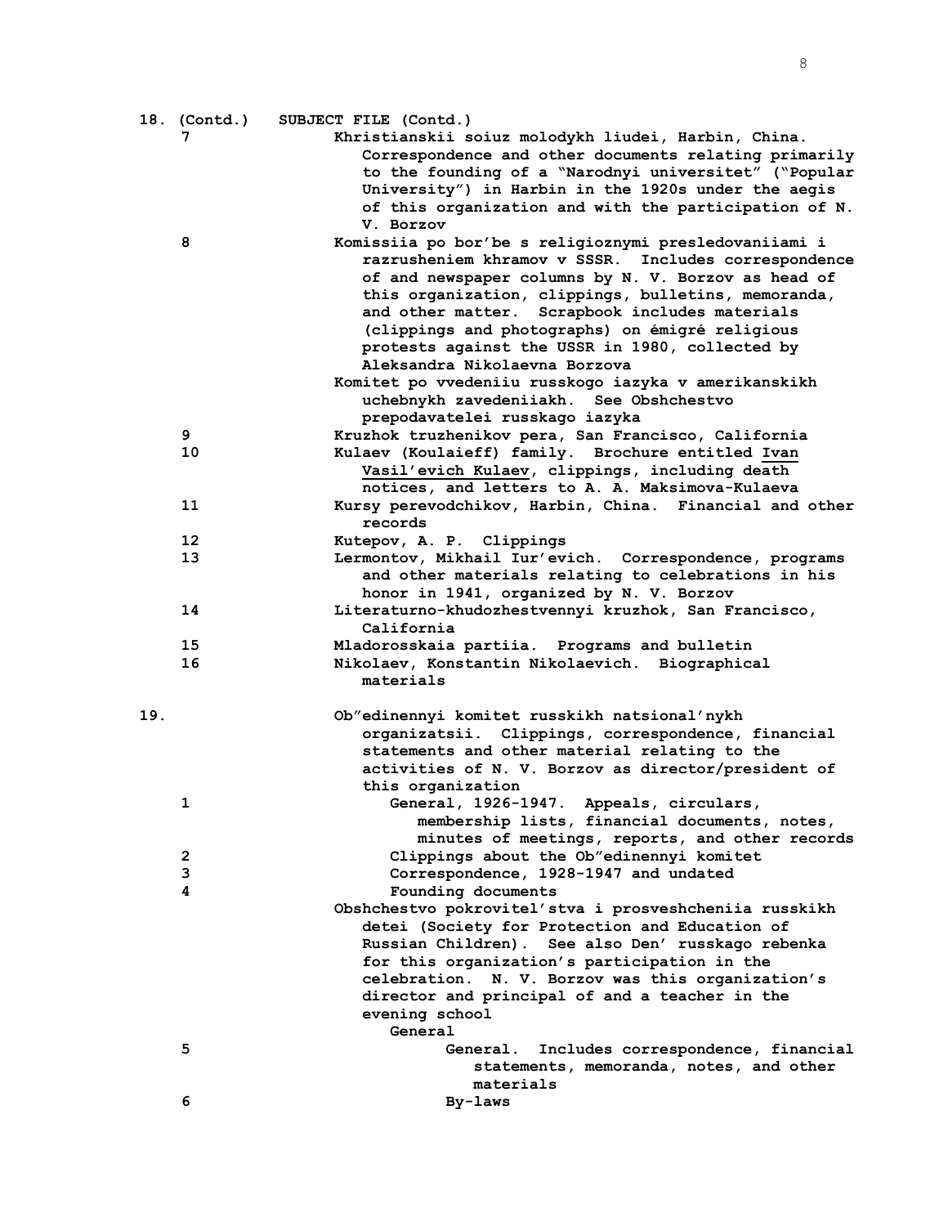|     | 18. (Contd.) | SUBJECT FILE (Contd.)                                                                                                                                                                                                                                                                                                                                                                                                                                                                                                                                     |
|-----|--------------|-----------------------------------------------------------------------------------------------------------------------------------------------------------------------------------------------------------------------------------------------------------------------------------------------------------------------------------------------------------------------------------------------------------------------------------------------------------------------------------------------------------------------------------------------------------|
|     | 7            | Khristianskii soiuz molodykh liudei, Harbin, China.<br>Correspondence and other documents relating primarily<br>to the founding of a "Narodnyi universitet" ("Popular<br>University") in Harbin in the 1920s under the aegis<br>of this organization and with the participation of N.<br>V. Borzov                                                                                                                                                                                                                                                        |
|     | 8            | Komissiia po bor'be s religioznymi presledovaniiami i<br>razrusheniem khramov v SSSR. Includes correspondence<br>of and newspaper columns by N. V. Borzov as head of<br>this organization, clippings, bulletins, memoranda,<br>and other matter. Scrapbook includes materials<br>(clippings and photographs) on émigré religious<br>protests against the USSR in 1980, collected by<br>Aleksandra Nikolaevna Borzova<br>Komitet po vvedeniiu russkogo iazyka v amerikanskikh<br>uchebnykh zavedeniiakh. See Obshchestvo<br>prepodavatelei russkago iazyka |
|     | 9            | Kruzhok truzhenikov pera, San Francisco, California                                                                                                                                                                                                                                                                                                                                                                                                                                                                                                       |
|     | 10           | Kulaev (Koulaieff) family. Brochure entitled Ivan<br>Vasil'evich Kulaev, clippings, including death<br>notices, and letters to A. A. Maksimova-Kulaeva                                                                                                                                                                                                                                                                                                                                                                                                    |
|     | 11           | Kursy perevodchikov, Harbin, China. Financial and other<br>records                                                                                                                                                                                                                                                                                                                                                                                                                                                                                        |
|     | 12           | Kutepov, A. P. Clippings                                                                                                                                                                                                                                                                                                                                                                                                                                                                                                                                  |
|     | 13           | Lermontov, Mikhail Iur'evich. Correspondence, programs<br>and other materials relating to celebrations in his<br>honor in 1941, organized by N. V. Borzov                                                                                                                                                                                                                                                                                                                                                                                                 |
|     | 14           | Literaturno-khudozhestvennyi kruzhok, San Francisco,<br>California                                                                                                                                                                                                                                                                                                                                                                                                                                                                                        |
|     | 15           | Mladorosskaia partiia. Programs and bulletin                                                                                                                                                                                                                                                                                                                                                                                                                                                                                                              |
|     | 16           | Nikolaev, Konstantin Nikolaevich. Biographical<br>materials                                                                                                                                                                                                                                                                                                                                                                                                                                                                                               |
| 19. |              | Ob"edinennyi komitet russkikh natsional'nykh<br>organizatsii. Clippings, correspondence, financial<br>statements and other material relating to the<br>activities of N. V. Borzov as director/president of<br>this organization                                                                                                                                                                                                                                                                                                                           |
|     | 1            | General, 1926-1947. Appeals, circulars,<br>membership lists, financial documents, notes,<br>minutes of meetings, reports, and other records                                                                                                                                                                                                                                                                                                                                                                                                               |
|     | 2            | Clippings about the Ob"edinennyi komitet                                                                                                                                                                                                                                                                                                                                                                                                                                                                                                                  |
|     | 3            | Correspondence, 1928-1947 and undated                                                                                                                                                                                                                                                                                                                                                                                                                                                                                                                     |
|     | 4            | Founding documents                                                                                                                                                                                                                                                                                                                                                                                                                                                                                                                                        |
|     |              | Obshchestvo pokrovitel'stva i prosveshcheniia russkikh<br>detei (Society for Protection and Education of<br>Russian Children). See also Den' russkago rebenka<br>for this organization's participation in the<br>celebration. N. V. Borzov was this organization's<br>director and principal of and a teacher in the<br>evening school<br>General                                                                                                                                                                                                         |
|     | 5            | Includes correspondence, financial<br><b>General.</b><br>statements, memoranda, notes, and other                                                                                                                                                                                                                                                                                                                                                                                                                                                          |
|     |              | materials                                                                                                                                                                                                                                                                                                                                                                                                                                                                                                                                                 |
|     | 6            | By-laws                                                                                                                                                                                                                                                                                                                                                                                                                                                                                                                                                   |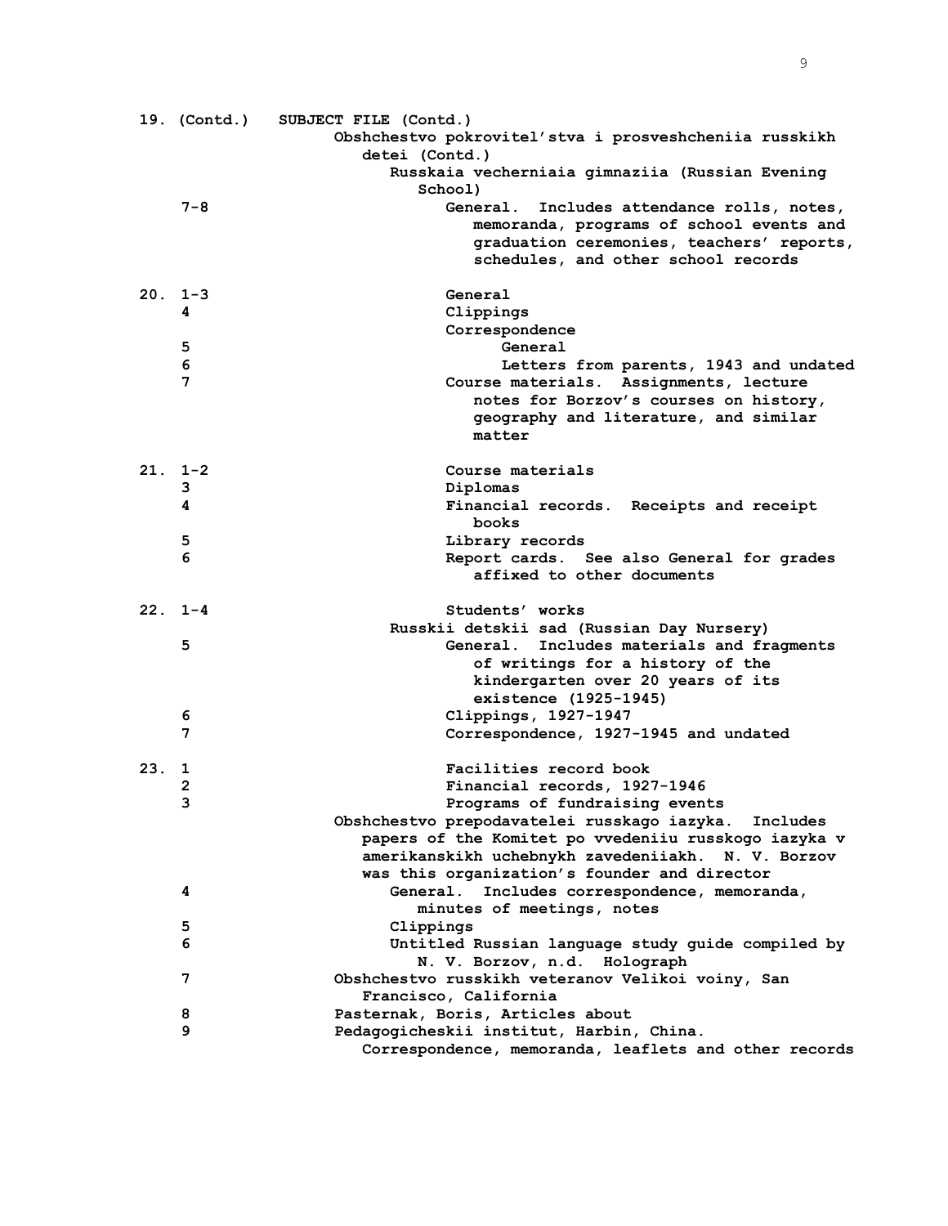|     |            | 19. (Contd.) SUBJECT FILE (Contd.)<br>Obshchestvo pokrovitel'stva i prosveshcheniia russkikh      |
|-----|------------|---------------------------------------------------------------------------------------------------|
|     |            | detei (Contd.)                                                                                    |
|     |            | Russkaia vecherniaia gimnaziia (Russian Evening<br>School)                                        |
|     | $7 - 8$    | <b>General.</b><br>Includes attendance rolls, notes,                                              |
|     |            | memoranda, programs of school events and                                                          |
|     |            | graduation ceremonies, teachers' reports,                                                         |
|     |            | schedules, and other school records                                                               |
|     | $20.1 - 3$ | General                                                                                           |
|     | 4          | Clippings                                                                                         |
|     |            | Correspondence                                                                                    |
|     | 5          | General                                                                                           |
|     | 6          | Letters from parents, 1943 and undated                                                            |
|     | 7          | Course materials. Assignments, lecture                                                            |
|     |            | notes for Borzov's courses on history,                                                            |
|     |            | geography and literature, and similar<br>matter                                                   |
|     | $21.1 - 2$ | Course materials                                                                                  |
|     | 3          | Diplomas                                                                                          |
|     | 4          | Financial records. Receipts and receipt                                                           |
|     |            | books                                                                                             |
|     | 5          | Library records                                                                                   |
|     | 6          | Report cards. See also General for grades                                                         |
|     |            | affixed to other documents                                                                        |
|     | $22.1 - 4$ | Students' works                                                                                   |
|     |            | Russkii detskii sad (Russian Day Nursery)                                                         |
|     | 5          | General. Includes materials and fragments                                                         |
|     |            | of writings for a history of the                                                                  |
|     |            | kindergarten over 20 years of its                                                                 |
|     |            | existence (1925-1945)                                                                             |
|     | 6          | Clippings, 1927-1947                                                                              |
|     | 7          | Correspondence, 1927-1945 and undated                                                             |
| 23. | 1          | Facilities record book                                                                            |
|     | 2          | Financial records, 1927-1946                                                                      |
|     | 3          | Programs of fundraising events                                                                    |
|     |            | Obshchestvo prepodavatelei russkago iazyka.<br>Includes                                           |
|     |            | papers of the Komitet po vvedeniiu russkogo iazyka v                                              |
|     |            | amerikanskikh uchebnykh zavedeniiakh. N. V. Borzov                                                |
|     |            | was this organization's founder and director                                                      |
|     | 4          | General.<br>Includes correspondence, memoranda,                                                   |
|     |            | minutes of meetings, notes                                                                        |
|     | 5          | Clippings                                                                                         |
|     | 6          | Untitled Russian language study guide compiled by                                                 |
|     |            | N. V. Borzov, n.d. Holograph                                                                      |
|     | 7          | Obshchestvo russkikh veteranov Velikoi voiny, San                                                 |
|     |            | Francisco, California                                                                             |
|     | 8<br>9     | Pasternak, Boris, Articles about                                                                  |
|     |            | Pedagogicheskii institut, Harbin, China.<br>Correspondence, memoranda, leaflets and other records |
|     |            |                                                                                                   |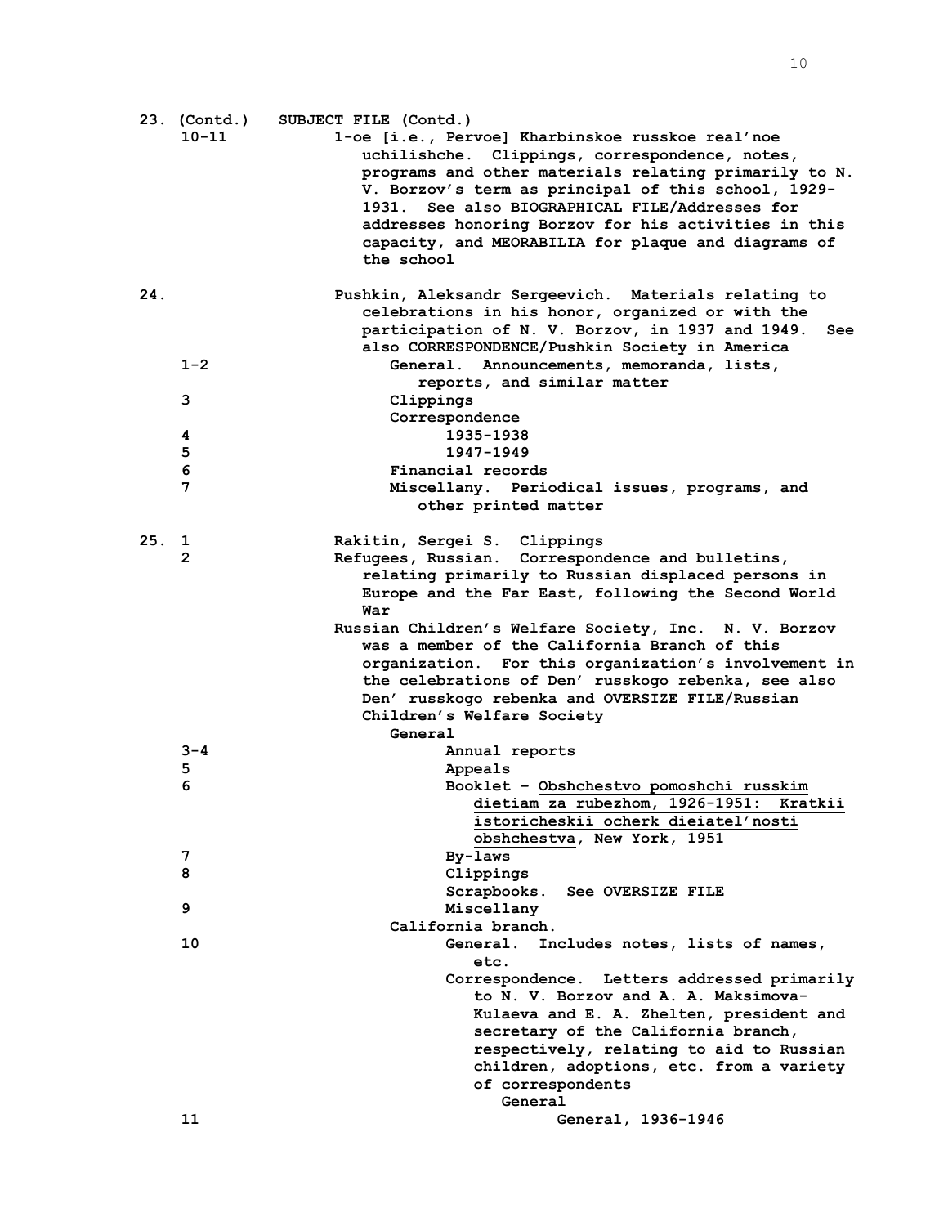|     | 23. (Contd.) | SUBJECT FILE (Contd.)                                   |
|-----|--------------|---------------------------------------------------------|
|     | $10 - 11$    | 1-oe [i.e., Pervoe] Kharbinskoe russkoe real'noe        |
|     |              | uchilishche. Clippings, correspondence, notes,          |
|     |              | programs and other materials relating primarily to N.   |
|     |              |                                                         |
|     |              | V. Borzov's term as principal of this school, 1929-     |
|     |              | 1931. See also BIOGRAPHICAL FILE/Addresses for          |
|     |              | addresses honoring Borzov for his activities in this    |
|     |              | capacity, and MEORABILIA for plaque and diagrams of     |
|     |              | the school                                              |
|     |              |                                                         |
| 24. |              | Pushkin, Aleksandr Sergeevich. Materials relating to    |
|     |              | celebrations in his honor, organized or with the        |
|     |              | participation of N. V. Borzov, in 1937 and 1949.<br>See |
|     |              | also CORRESPONDENCE/Pushkin Society in America          |
|     | $1 - 2$      | General. Announcements, memoranda, lists,               |
|     |              | reports, and similar matter                             |
|     | 3            | Clippings                                               |
|     |              |                                                         |
|     |              | Correspondence                                          |
|     | 4            | 1935-1938                                               |
|     | 5            | 1947-1949                                               |
|     | 6            | Financial records                                       |
|     | 7            | Miscellany. Periodical issues, programs, and            |
|     |              | other printed matter                                    |
|     |              |                                                         |
| 25. | ı            | Rakitin, Sergei S. Clippings                            |
|     | 2            | Refugees, Russian. Correspondence and bulletins,        |
|     |              | relating primarily to Russian displaced persons in      |
|     |              | Europe and the Far East, following the Second World     |
|     |              | War                                                     |
|     |              | Russian Children's Welfare Society, Inc. N. V. Borzov   |
|     |              | was a member of the California Branch of this           |
|     |              | organization. For this organization's involvement in    |
|     |              | the celebrations of Den' russkogo rebenka, see also     |
|     |              | Den' russkogo rebenka and OVERSIZE FILE/Russian         |
|     |              |                                                         |
|     |              | Children's Welfare Society                              |
|     |              | General                                                 |
|     | $3 - 4$      | Annual reports                                          |
|     | 5            | Appeals                                                 |
|     | 6            | Booklet - Obshchestvo pomoshchi russkim                 |
|     |              | dietiam za rubezhom, 1926-1951: Kratkii                 |
|     |              | istoricheskii ocherk dieiatel'nosti                     |
|     |              | obshchestva, New York, 1951                             |
|     | 7            | By-laws                                                 |
|     | 8            | Clippings                                               |
|     |              | Scrapbooks.<br><b>See OVERSIZE FILE</b>                 |
|     | 9            | Miscellany                                              |
|     |              | California branch.                                      |
|     | 10           | <b>General.</b><br>Includes notes, lists of names,      |
|     |              | etc.                                                    |
|     |              | Correspondence. Letters addressed primarily             |
|     |              | to N. V. Borzov and A. A. Maksimova-                    |
|     |              |                                                         |
|     |              | Kulaeva and E. A. Zhelten, president and                |
|     |              | secretary of the California branch,                     |
|     |              | respectively, relating to aid to Russian                |
|     |              | children, adoptions, etc. from a variety                |
|     |              | of correspondents                                       |
|     |              | General                                                 |
|     | 11           | General, 1936-1946                                      |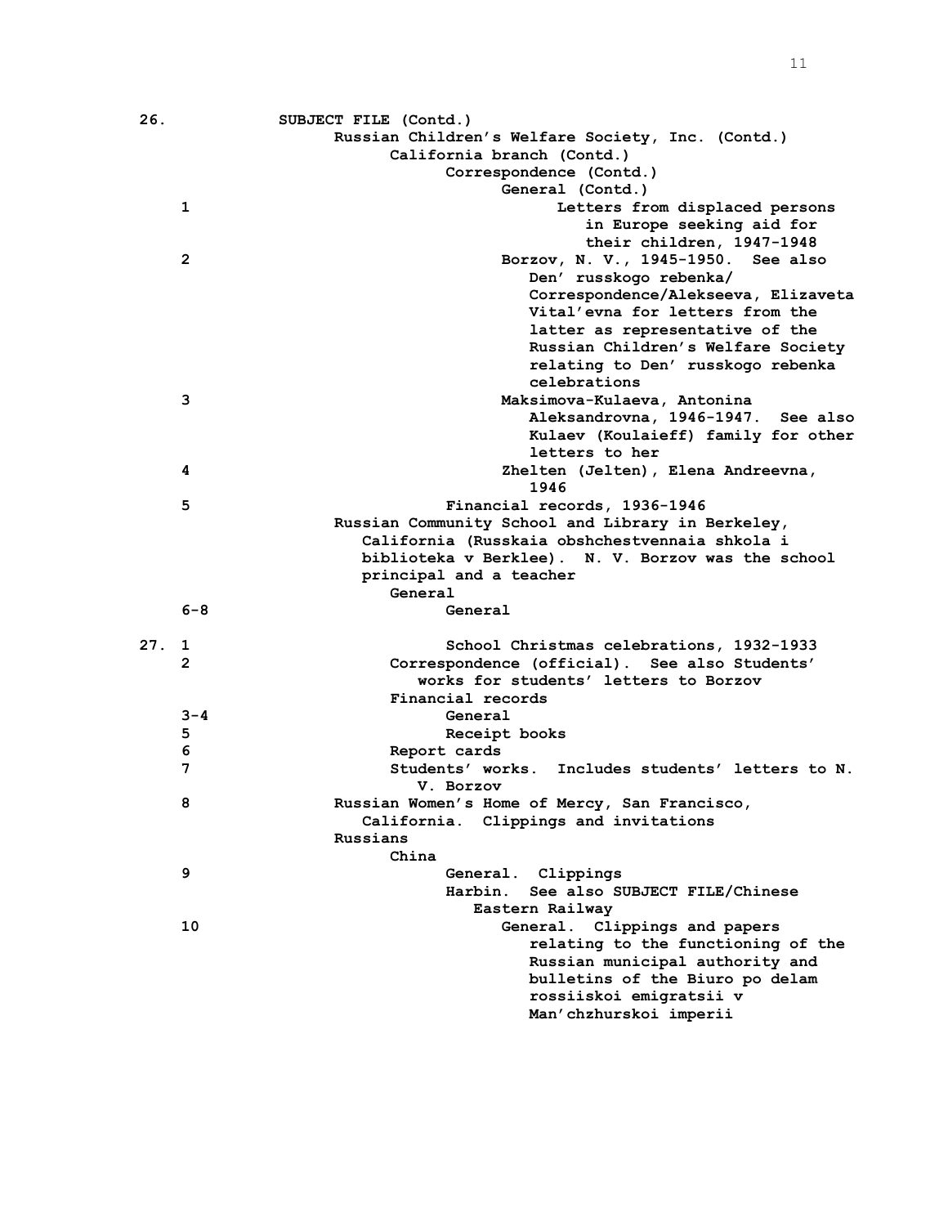| 26. |              | SUBJECT FILE (Contd.)                                             |
|-----|--------------|-------------------------------------------------------------------|
|     |              | Russian Children's Welfare Society, Inc. (Contd.)                 |
|     |              | California branch (Contd.)                                        |
|     |              | Correspondence (Contd.)                                           |
|     |              | General (Contd.)                                                  |
|     | 1            | Letters from displaced persons                                    |
|     |              | in Europe seeking aid for                                         |
|     |              | their children, 1947-1948                                         |
|     | $\mathbf{2}$ | Borzov, N. V., 1945-1950. See also                                |
|     |              | Den' russkogo rebenka/                                            |
|     |              | Correspondence/Alekseeva, Elizaveta                               |
|     |              | Vital'evna for letters from the                                   |
|     |              | latter as representative of the                                   |
|     |              | Russian Children's Welfare Society                                |
|     |              | relating to Den' russkogo rebenka                                 |
|     |              | celebrations                                                      |
|     | 3            | Maksimova-Kulaeva, Antonina                                       |
|     |              | Aleksandrovna, 1946-1947. See also                                |
|     |              | Kulaev (Koulaieff) family for other                               |
|     |              | letters to her                                                    |
|     | 4            | Zhelten (Jelten), Elena Andreevna,                                |
|     |              | 1946                                                              |
|     | 5            | Financial records, 1936-1946                                      |
|     |              | Russian Community School and Library in Berkeley,                 |
|     |              | California (Russkaia obshchestvennaia shkola i                    |
|     |              | biblioteka v Berklee). N. V. Borzov was the school                |
|     |              | principal and a teacher                                           |
|     |              | General                                                           |
|     | $6 - 8$      | General                                                           |
|     |              |                                                                   |
| 27. | $\mathbf{1}$ | School Christmas celebrations, 1932-1933                          |
|     | $\mathbf{2}$ | Correspondence (official). See also Students'                     |
|     |              | works for students' letters to Borzov<br>Financial records        |
|     | $3 - 4$      | General                                                           |
|     |              |                                                                   |
|     | 5<br>6       | Receipt books                                                     |
|     | 7            | Report cards<br>Students' works. Includes students' letters to N. |
|     |              | V. Borzov                                                         |
|     | 8            | Russian Women's Home of Mercy, San Francisco,                     |
|     |              | California. Clippings and invitations                             |
|     |              | Russians                                                          |
|     |              | China                                                             |
|     | 9            | General. Clippings                                                |
|     |              | See also SUBJECT FILE/Chinese<br>Harbin.                          |
|     |              | Eastern Railwav                                                   |
|     | 10           | General.<br>Clippings and papers                                  |
|     |              | relating to the functioning of the                                |
|     |              | Russian municipal authority and                                   |
|     |              | bulletins of the Biuro po delam                                   |
|     |              | rossiiskoi emigratsii v                                           |
|     |              | Man'chzhurskoi imperii                                            |
|     |              |                                                                   |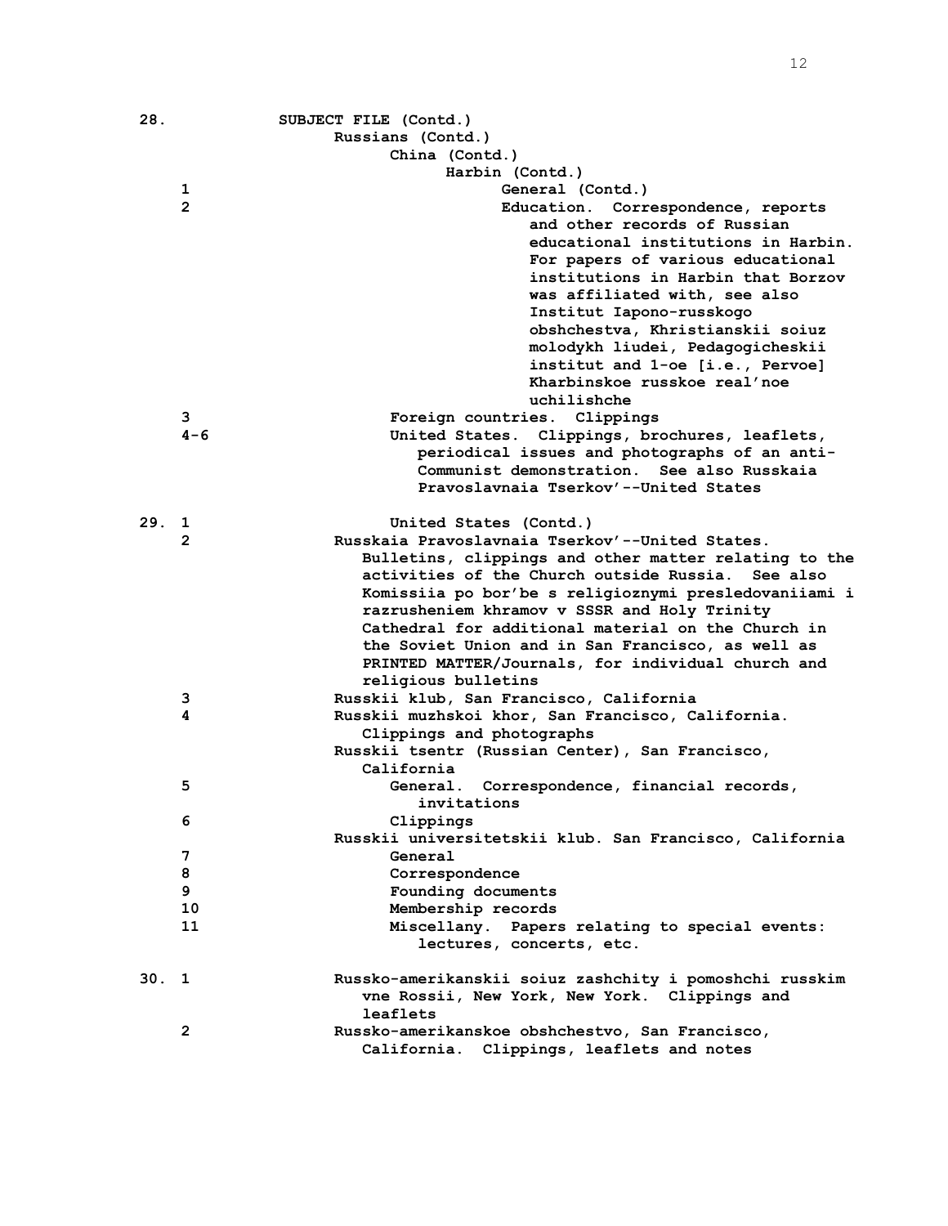| 28.  |                | SUBJECT FILE (Contd.)                                                                                      |
|------|----------------|------------------------------------------------------------------------------------------------------------|
|      |                | Russians (Contd.)                                                                                          |
|      |                | China (Contd.)                                                                                             |
|      |                | Harbin (Contd.)                                                                                            |
|      | 1              | General (Contd.)                                                                                           |
|      | $\overline{2}$ | Education. Correspondence, reports                                                                         |
|      |                | and other records of Russian                                                                               |
|      |                | educational institutions in Harbin.                                                                        |
|      |                | For papers of various educational                                                                          |
|      |                | institutions in Harbin that Borzov                                                                         |
|      |                | was affiliated with, see also                                                                              |
|      |                | Institut Iapono-russkogo                                                                                   |
|      |                | obshchestva, Khristianskii soiuz                                                                           |
|      |                | molodykh liudei, Pedagogicheskii                                                                           |
|      |                | institut and 1-oe [i.e., Pervoe]                                                                           |
|      |                | Kharbinskoe russkoe real'noe                                                                               |
|      |                | uchilishche                                                                                                |
|      | 3.             | Foreign countries. Clippings                                                                               |
|      | $4 - 6$        | United States. Clippings, brochures, leaflets,                                                             |
|      |                | periodical issues and photographs of an anti-                                                              |
|      |                | Communist demonstration. See also Russkaia                                                                 |
|      |                | Pravoslavnaia Tserkov'--United States                                                                      |
|      |                |                                                                                                            |
| 29.  | 1              | United States (Contd.)                                                                                     |
|      | 2              | Russkaia Pravoslavnaia Tserkov'--United States.                                                            |
|      |                | Bulletins, clippings and other matter relating to the<br>activities of the Church outside Russia. See also |
|      |                | Komissiia po bor'be s religioznymi presledovaniiami i                                                      |
|      |                | razrusheniem khramov v SSSR and Holy Trinity                                                               |
|      |                | Cathedral for additional material on the Church in                                                         |
|      |                | the Soviet Union and in San Francisco, as well as                                                          |
|      |                | PRINTED MATTER/Journals, for individual church and                                                         |
|      |                | religious bulletins                                                                                        |
|      | з              | Russkii klub, San Francisco, California                                                                    |
|      | 4              | Russkii muzhskoi khor, San Francisco, California.                                                          |
|      |                | Clippings and photographs                                                                                  |
|      |                | Russkii tsentr (Russian Center), San Francisco,                                                            |
|      |                | California                                                                                                 |
|      | 5              | General. Correspondence, financial records,                                                                |
|      |                | invitations                                                                                                |
|      | 6              | Clippings                                                                                                  |
|      |                | Russkii universitetskii klub. San Francisco, California                                                    |
|      | 7              | General                                                                                                    |
|      | 8              | Correspondence                                                                                             |
|      | 9              | Founding documents                                                                                         |
|      | 10             | Membership records                                                                                         |
|      | 11             | Miscellany. Papers relating to special events:                                                             |
|      |                | lectures, concerts, etc.                                                                                   |
| 30.1 |                | Russko-amerikanskii soiuz zashchity i pomoshchi russkim                                                    |
|      |                | vne Rossii, New York, New York. Clippings and                                                              |
|      |                | leaflets                                                                                                   |
|      | $\mathbf{2}$   | Russko-amerikanskoe obshchestvo, San Francisco,                                                            |
|      |                | California. Clippings, leaflets and notes                                                                  |
|      |                |                                                                                                            |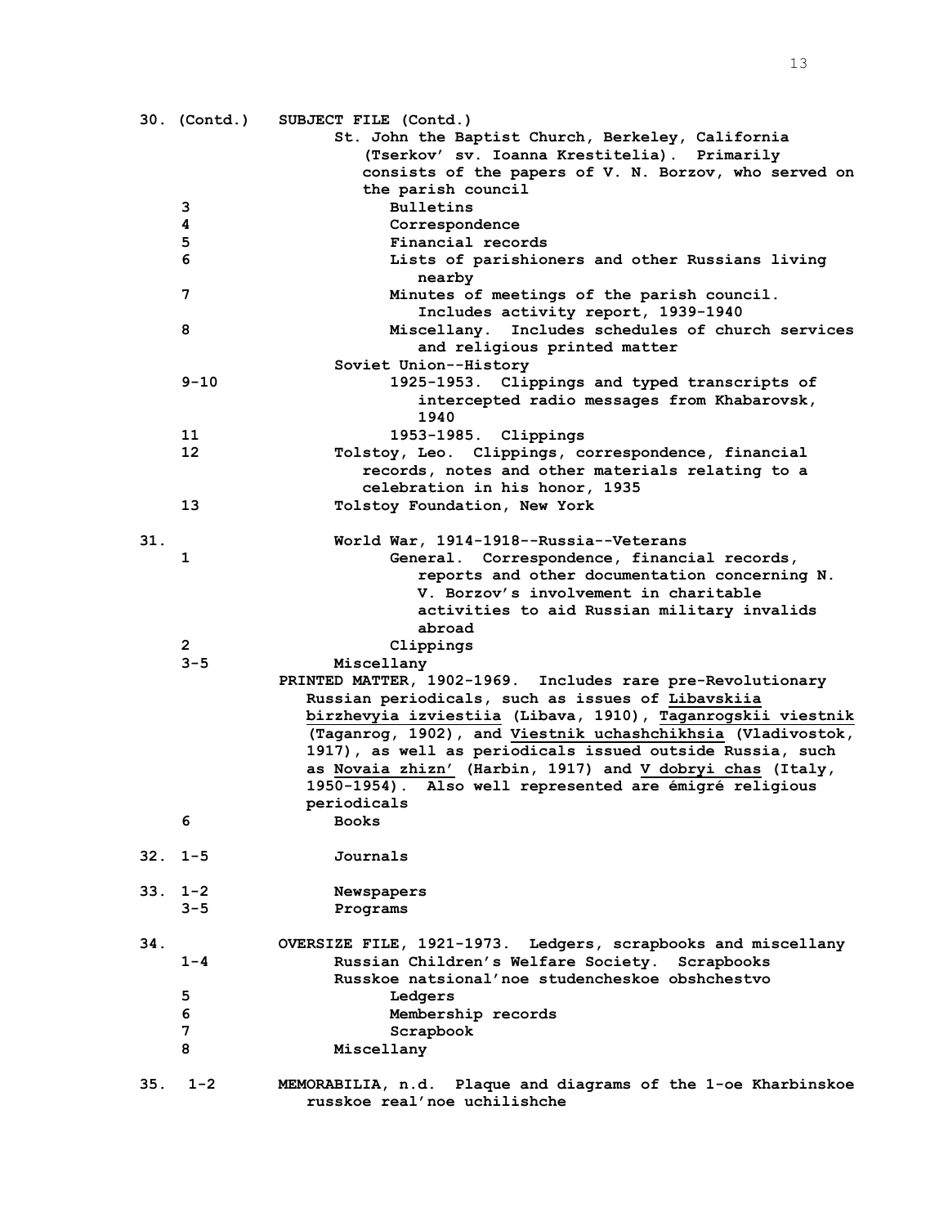|     | 30. (Contd.) | SUBJECT FILE (Contd.)                                         |
|-----|--------------|---------------------------------------------------------------|
|     |              | St. John the Baptist Church, Berkeley, California             |
|     |              | (Tserkov' sv. Ioanna Krestitelia). Primarily                  |
|     |              | consists of the papers of V. N. Borzov, who served on         |
|     |              | the parish council                                            |
|     | з            | <b>Bulletins</b>                                              |
|     | 4            | Correspondence                                                |
|     | 5            | Financial records                                             |
|     | 6            | Lists of parishioners and other Russians living               |
|     |              | nearby                                                        |
|     | 7            | Minutes of meetings of the parish council.                    |
|     |              | Includes activity report, 1939-1940                           |
|     | 8            | Miscellany. Includes schedules of church services             |
|     |              | and religious printed matter                                  |
|     |              | Soviet Union--History                                         |
|     | $9 - 10$     | 1925-1953. Clippings and typed transcripts of                 |
|     |              | intercepted radio messages from Khabarovsk,                   |
|     |              | 1940                                                          |
|     | 11           | 1953-1985. Clippings                                          |
|     | 12           | Tolstoy, Leo. Clippings, correspondence, financial            |
|     |              | records, notes and other materials relating to a              |
|     |              | celebration in his honor, 1935                                |
|     | 13           | Tolstoy Foundation, New York                                  |
|     |              |                                                               |
| 31. |              | World War, 1914-1918--Russia--Veterans                        |
|     | 1            | General. Correspondence, financial records,                   |
|     |              | reports and other documentation concerning N.                 |
|     |              | V. Borzov's involvement in charitable                         |
|     |              |                                                               |
|     |              | activities to aid Russian military invalids                   |
|     |              | abroad                                                        |
|     | $\mathbf{2}$ | Clippings                                                     |
|     | $3 - 5$      | Miscellany                                                    |
|     |              | PRINTED MATTER, 1902-1969. Includes rare pre-Revolutionary    |
|     |              | Russian periodicals, such as issues of Libavskiia             |
|     |              | birzhevyia izviestiia (Libava, 1910), Taganrogskii viestnik   |
|     |              | (Taganrog, 1902), and Viestnik uchashchikhsia (Vladivostok,   |
|     |              | 1917), as well as periodicals issued outside Russia, such     |
|     |              | as Novaia zhizn' (Harbin, 1917) and V dobryi chas (Italy,     |
|     |              | 1950-1954). Also well represented are émigré religious        |
|     |              | periodicals                                                   |
|     | 6            | <b>Books</b>                                                  |
|     |              |                                                               |
| 32. | $1 - 5$      | Journals                                                      |
|     |              |                                                               |
|     | $33.1 - 2$   | Newspapers                                                    |
|     | $3 - 5$      | Programs                                                      |
|     |              |                                                               |
| 34. |              | OVERSIZE FILE, 1921-1973. Ledgers, scrapbooks and miscellany  |
|     | $1 - 4$      | Russian Children's Welfare Society. Scrapbooks                |
|     |              | Russkoe natsional'noe studencheskoe obshchestvo               |
|     | 5            | Ledgers                                                       |
|     | 6            | Membership records                                            |
|     | 7            | Scrapbook                                                     |
|     | 8            | Miscellany                                                    |
|     |              |                                                               |
| 35. | $1 - 2$      | MEMORABILIA, n.d. Plaque and diagrams of the 1-oe Kharbinskoe |
|     |              | russkoe real'noe uchilishche                                  |